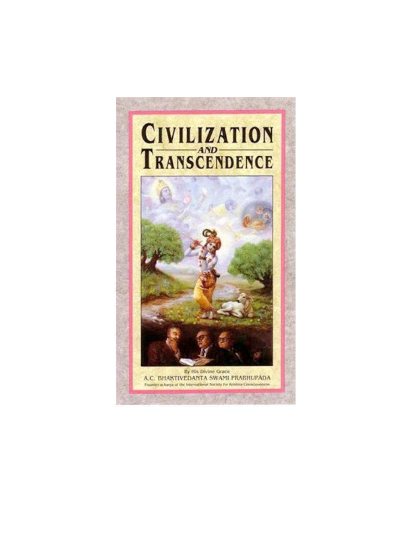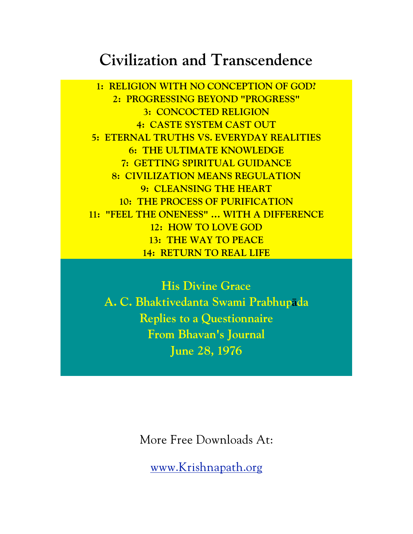# **Civilization and Transcendence**

**1: RELIGION WITH NO CONCEPTION OF GOD? 2: PROGRESSING BEYOND "PROGRESS" 3: CONCOCTED RELIGION 4: CASTE SYSTEM CAST OUT 5: ETERNAL TRUTHS VS. EVERYDAY REALITIES 6: THE ULTIMATE KNOWLEDGE 7: GETTING SPIRITUAL GUIDANCE 8: CIVILIZATION MEANS REGULATION 9: CLEANSING THE HEART 10: THE PROCESS OF PURIFICATION 11: "FEEL THE ONENESS" … WITH A DIFFERENCE 12: HOW TO LOVE GOD 13: THE WAY TO PEACE 14: RETURN TO REAL LIFE**

**His Divine Grace A. C. Bhaktivedanta Swami Prabhupäda Replies to a Questionnaire From Bhavan's Journal June 28, 1976**

More Free Downloads At:

[www.Krishnapath.org](http://www.Krishnapath.org)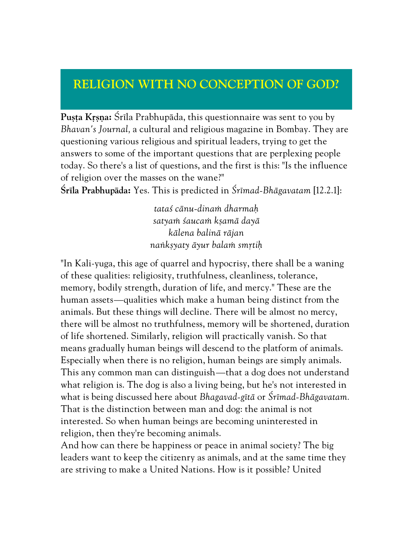### **RELIGION WITH NO CONCEPTION OF GOD?**

Pusta Krsna: Śrīla Prabhupāda, this questionnaire was sent to you by *Bhavan's Journal,* a cultural and religious magazine in Bombay. They are questioning various religious and spiritual leaders, trying to get the answers to some of the important questions that are perplexing people today. So there's a list of questions, and the first is this: "Is the influence of religion over the masses on the wane?"

**Çréla Prabhupäda:** Yes. This is predicted in *Çrémad-Bhägavatam* [12.2.1]:

*tataç cänu-dinaà dharmaù satyaà çaucaà kñamä dayä kälena balinä räjan naìkñyaty äyur balaà småtiù*

"In Kali-yuga, this age of quarrel and hypocrisy, there shall be a waning of these qualities: religiosity, truthfulness, cleanliness, tolerance, memory, bodily strength, duration of life, and mercy." These are the human assets—qualities which make a human being distinct from the animals. But these things will decline. There will be almost no mercy, there will be almost no truthfulness, memory will be shortened, duration of life shortened. Similarly, religion will practically vanish. So that means gradually human beings will descend to the platform of animals. Especially when there is no religion, human beings are simply animals. This any common man can distinguish—that a dog does not understand what religion is. The dog is also a living being, but he's not interested in what is being discussed here about *Bhagavad-gétä* or *Çrémad-Bhägavatam.* That is the distinction between man and dog: the animal is not interested. So when human beings are becoming uninterested in religion, then they're becoming animals.

And how can there be happiness or peace in animal society? The big leaders want to keep the citizenry as animals, and at the same time they are striving to make a United Nations. How is it possible? United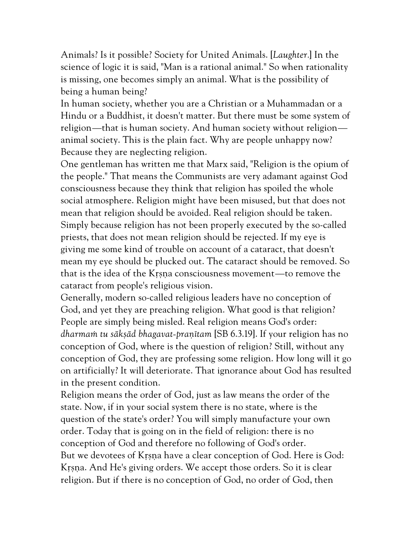Animals? Is it possible? Society for United Animals. [*Laughter.*] In the science of logic it is said, "Man is a rational animal." So when rationality is missing, one becomes simply an animal. What is the possibility of being a human being?

In human society, whether you are a Christian or a Muhammadan or a Hindu or a Buddhist, it doesn't matter. But there must be some system of religion—that is human society. And human society without religion animal society. This is the plain fact. Why are people unhappy now? Because they are neglecting religion.

One gentleman has written me that Marx said, "Religion is the opium of the people." That means the Communists are very adamant against God consciousness because they think that religion has spoiled the whole social atmosphere. Religion might have been misused, but that does not mean that religion should be avoided. Real religion should be taken. Simply because religion has not been properly executed by the so-called priests, that does not mean religion should be rejected. If my eye is giving me some kind of trouble on account of a cataract, that doesn't mean my eye should be plucked out. The cataract should be removed. So that is the idea of the Krsna consciousness movement-to remove the cataract from people's religious vision.

Generally, modern so-called religious leaders have no conception of God, and yet they are preaching religion. What good is that religion? People are simply being misled. Real religion means God's order: *dharmam tu sāksād bhagavat-pranītam* [SB 6.3.19]. If your religion has no conception of God, where is the question of religion? Still, without any conception of God, they are professing some religion. How long will it go on artificially? It will deteriorate. That ignorance about God has resulted in the present condition.

Religion means the order of God, just as law means the order of the state. Now, if in your social system there is no state, where is the question of the state's order? You will simply manufacture your own order. Today that is going on in the field of religion: there is no conception of God and therefore no following of God's order. But we devotees of Krsna have a clear conception of God. Here is God: Krsna. And He's giving orders. We accept those orders. So it is clear religion. But if there is no conception of God, no order of God, then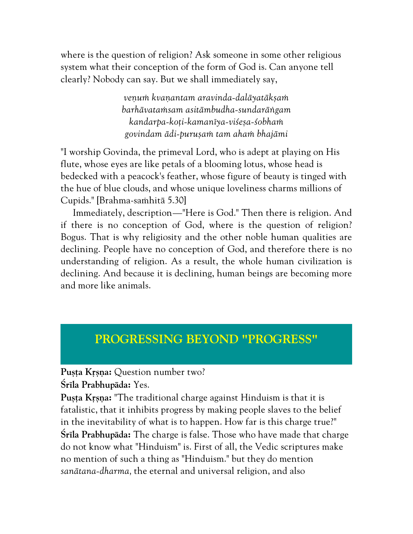where is the question of religion? Ask someone in some other religious system what their conception of the form of God is. Can anyone tell clearly? Nobody can say. But we shall immediately say,

> *venum kvanantam aravinda-dalāyatāksam barhävataàsam asitämbudha-sundaräìgam kandarpa-koöi-kamanéya-viçeña-çobhaà govindam ädi-puruñaà tam ahaà bhajämi*

"I worship Govinda, the primeval Lord, who is adept at playing on His flute, whose eyes are like petals of a blooming lotus, whose head is bedecked with a peacock's feather, whose figure of beauty is tinged with the hue of blue clouds, and whose unique loveliness charms millions of Cupids." [Brahma-samhitā 5.30]

Immediately, description—"Here is God." Then there is religion. And if there is no conception of God, where is the question of religion? Bogus. That is why religiosity and the other noble human qualities are declining. People have no conception of God, and therefore there is no understanding of religion. As a result, the whole human civilization is declining. And because it is declining, human beings are becoming more and more like animals.

### **PROGRESSING BEYOND "PROGRESS"**

Pusta Krsna: Question number two?

**Çréla Prabhupäda:** Yes.

**Pusta Krsna:** "The traditional charge against Hinduism is that it is fatalistic, that it inhibits progress by making people slaves to the belief in the inevitability of what is to happen. How far is this charge true?" **Śrīla Prabhupāda:** The charge is false. Those who have made that charge do not know what "Hinduism" is. First of all, the Vedic scriptures make no mention of such a thing as "Hinduism." but they do mention *sanätana-dharma,* the eternal and universal religion, and also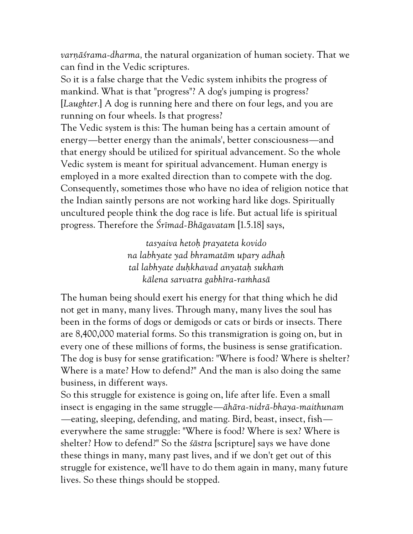*varņāśrama-dharma,* the natural organization of human society. That we can find in the Vedic scriptures.

So it is a false charge that the Vedic system inhibits the progress of mankind. What is that "progress"? A dog's jumping is progress? [*L*a*ughter.*] A dog is running here and there on four legs, and you are running on four wheels. Is that progress?

The Vedic system is this: The human being has a certain amount of energy—better energy than the animals', better consciousness—and that energy should be utilized for spiritual advancement. So the whole Vedic system is meant for spiritual advancement. Human energy is employed in a more exalted direction than to compete with the dog. Consequently, sometimes those who have no idea of religion notice that the Indian saintly persons are not working hard like dogs. Spiritually uncultured people think the dog race is life. But actual life is spiritual progress. Therefore the *Çrémad-Bhägavatam* [1.5.18] says,

> *tasyaiva hetoù prayateta kovido na labhyate yad bhramatäm upary adhaù tal labhyate duùkhavad anyataù sukhaà kälena sarvatra gabhéra-raàhasä*

The human being should exert his energy for that thing which he did not get in many, many lives. Through many, many lives the soul has been in the forms of dogs or demigods or cats or birds or insects. There are 8,400,000 material forms. So this transmigration is going on, but in every one of these millions of forms, the business is sense gratification. The dog is busy for sense gratification: "Where is food? Where is shelter? Where is a mate? How to defend?" And the man is also doing the same business, in different ways.

So this struggle for existence is going on, life after life. Even a small insect is engaging in the same struggle—*ähära-nidrä-bhaya-maithunam* —eating, sleeping, defending, and mating. Bird, beast, insect, fish everywhere the same struggle: "Where is food? Where is sex? Where is shelter? How to defend?" So the *çä*s*tra* [scripture] says we have done these things in many, many past lives, and if we don't get out of this struggle for existence, we'll have to do them again in many, many future lives. So these things should be stopped.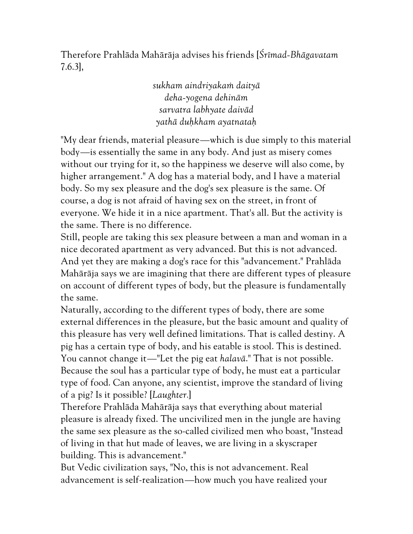Therefore Prahläda Mahäräja advises his friends [*Çrémad-Bhägavatam*  7.6.3],

> *sukham aindriyakaà daityä deha-yogena dehinäm sarvatra labhyate daiväd yathä duùkham ayatnataù*

"My dear friends, material pleasure—which is due simply to this material body—is essentially the same in any body. And just as misery comes without our trying for it, so the happiness we deserve will also come, by higher arrangement." A dog has a material body, and I have a material body. So my sex pleasure and the dog's sex pleasure is the same. Of course, a dog is not afraid of having sex on the street, in front of everyone. We hide it in a nice apartment. That's all. But the activity is the same. There is no difference.

Still, people are taking this sex pleasure between a man and woman in a nice decorated apartment as very advanced. But this is not advanced. And yet they are making a dog's race for this "advancement." Prahläda Mahäräja says we are imagining that there are different types of pleasure on account of different types of body, but the pleasure is fundamentally the same.

Naturally, according to the different types of body, there are some external differences in the pleasure, but the basic amount and quality of this pleasure has very well defined limitations. That is called destiny. A pig has a certain type of body, and his eatable is stool. This is destined. You cannot change it—"Let the pig eat *halavä*." That is not possible. Because the soul has a particular type of body, he must eat a particular type of food. Can anyone, any scientist, improve the standard of living of a pig? Is it possible? [*Laughter.*]

Therefore Prahläda Mahäräja says that everything about material pleasure is already fixed. The uncivilized men in the jungle are having the same sex pleasure as the so-called civilized men who boast, "Instead of living in that hut made of leaves, we are living in a skyscraper building. This is advancement."

But Vedic civilization says, "No, this is not advancement. Real advancement is self-realization—how much you have realized your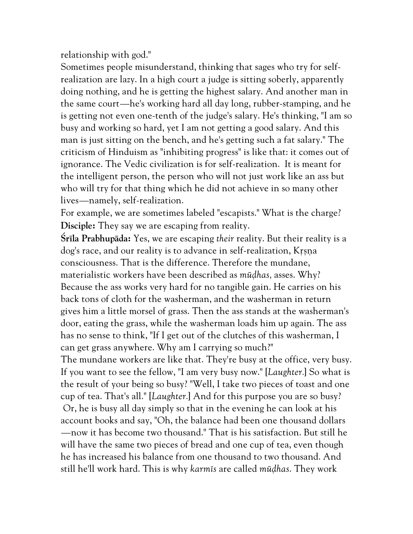relationship with god."

Sometimes people misunderstand, thinking that sages who try for selfrealization are lazy. In a high court a judge is sitting soberly, apparently doing nothing, and he is getting the highest salary. And another man in the same court—he's working hard all day long, rubber-stamping, and he is getting not even one-tenth of the judge's salary. He's thinking, "I am so busy and working so hard, yet I am not getting a good salary. And this man is just sitting on the bench, and he's getting such a fat salary." The criticism of Hinduism as "inhibiting progress" is like that: it comes out of ignorance. The Vedic civilization is for self-realization. It is meant for the intelligent person, the person who will not just work like an ass but who will try for that thing which he did not achieve in so many other lives—namely, self-realization.

For example, we are sometimes labeled "escapists." What is the charge? **Disciple:** They say we are escaping from reality.

**Çréla Prabhupäda:** Yes, we are escaping *their* reality. But their reality is a dog's race, and our reality is to advance in self-realization, Krsna consciousness. That is the difference. Therefore the mundane, materialistic workers have been described as *müòhas,* asses. Why? Because the ass works very hard for no tangible gain. He carries on his back tons of cloth for the washerman, and the washerman in return gives him a little morsel of grass. Then the ass stands at the washerman's door, eating the grass, while the washerman loads him up again. The ass has no sense to think, "If I get out of the clutches of this washerman, I can get grass anywhere. Why am I carrying so much?"

The mundane workers are like that. They're busy at the office, very busy. If you want to see the fellow, "I am very busy now." [*Laughter.*] So what is the result of your being so busy? "Well, I take two pieces of toast and one cup of tea. That's all." [*Laughter.*] And for this purpose you are so busy? Or, he is busy all day simply so that in the evening he can look at his account books and say, "Oh, the balance had been one thousand dollars —now it has become two thousand." That is his satisfaction. But still he will have the same two pieces of bread and one cup of tea, even though he has increased his balance from one thousand to two thousand. And still he'll work hard. This is why *karmés* are called *müòhas*. They work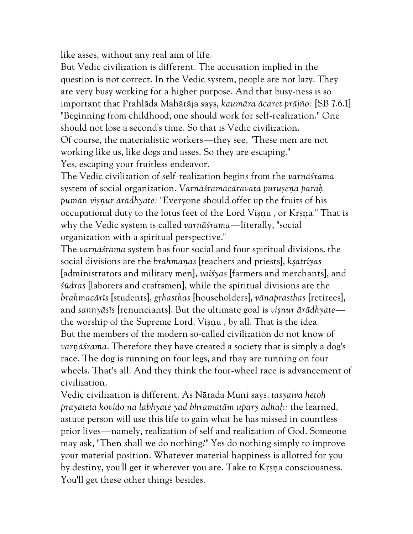like asses, without any real aim of life.

But Vedic civilization is different. The accusation implied in the question is not correct. In the Vedic system, people are not lazy. They are very busy working for a higher purpose. And that busy-ness is so important that Prahläda Mahäräja says, *kaumära äcaret präjïo:* [SB 7.6.1] "Beginning from childhood, one should work for self-realization." One should not lose a second's time. So that is Vedic civilization. Of course, the materialistic workers—they see, "These men are not working like us, like dogs and asses. So they are escaping." Yes, escaping your fruitless endeavor.

The Vedic civilization of self-realization begins from the *varnāśrama* system of social organization. *Varnāśramācāravatā purușena parah pumān vișnur ārādhyate:* "Everyone should offer up the fruits of his occupational duty to the lotus feet of the Lord Visnu, or Krsna." That is why the Vedic system is called *varnāśrama*—literally, "social organization with a spiritual perspective."

The *varnāśrama* system has four social and four spiritual divisions. the social divisions are the *brāhmanas* [teachers and priests], *kṣatriyas* [administrators and military men], *vaiçyas* [farmers and merchants], and *çüdras* [laborers and craftsmen], while the spiritual divisions are the *brahmacärés* [students], *gåhasthas* [householders], *vänaprasthas* [retirees], and *sannyāsīs* [renunciants]. But the ultimate goal is *viṣṇur ārādhyate* the worship of the Supreme Lord, Visnu, by all. That is the idea. But the members of the modern so-called civilization do not know of *varnāśrama*. Therefore they have created a society that is simply a dog's race. The dog is running on four legs, and thay are running on four wheels. That's all. And they think the four-wheel race is advancement of civilization.

Vedic civilization is different. As Närada Muni says, *tasyaiva hetoù prayateta kovido na labhyate yad bhramatäm upary adhaù:* the learned, astute person will use this life to gain what he has missed in countless prior lives—namely, realization of self and realization of God. Someone may ask, "Then shall we do nothing?" Yes do nothing simply to improve your material position. Whatever material happiness is allotted for you by destiny, you'll get it wherever you are. Take to Krsna consciousness. You'll get these other things besides.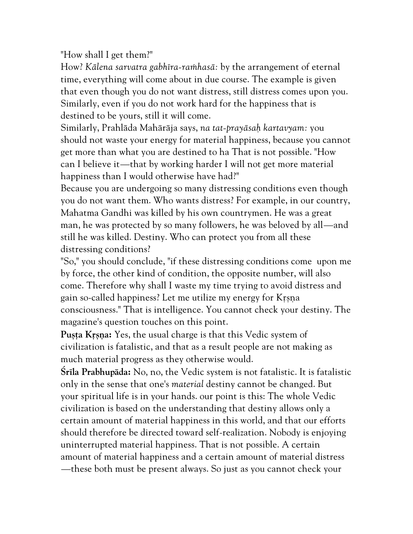"How shall I get them?"

How? *Kālena sarvatra gabhīra-ramhasā:* by the arrangement of eternal time, everything will come about in due course. The example is given that even though you do not want distress, still distress comes upon you. Similarly, even if you do not work hard for the happiness that is destined to be yours, still it will come.

Similarly, Prahläda Mahäräja says, *na tat-prayäsaù kartavyam:* you should not waste your energy for material happiness, because you cannot get more than what you are destined to ha That is not possible. "How can I believe it—that by working harder I will not get more material happiness than I would otherwise have had?"

Because you are undergoing so many distressing conditions even though you do not want them. Who wants distress? For example, in our country, Mahatma Gandhi was killed by his own countrymen. He was a great man, he was protected by so many followers, he was beloved by all—and still he was killed. Destiny. Who can protect you from all these distressing conditions?

"So," you should conclude, "if these distressing conditions come upon me by force, the other kind of condition, the opposite number, will also come. Therefore why shall I waste my time trying to avoid distress and gain so-called happiness? Let me utilize my energy for Krsna consciousness." That is intelligence. You cannot check your destiny. The magazine's question touches on this point.

Pusta Krsna: Yes, the usual charge is that this Vedic system of civilization is fatalistic, and that as a result people are not making as much material progress as they otherwise would.

**Śrīla Prabhupāda:** No, no, the Vedic system is not fatalistic. It is fatalistic only in the sense that one's *material* destiny cannot be changed. But your spiritual life is in your hands. our point is this: The whole Vedic civilization is based on the understanding that destiny allows only a certain amount of material happiness in this world, and that our efforts should therefore be directed toward self-realization. Nobody is enjoying uninterrupted material happiness. That is not possible. A certain amount of material happiness and a certain amount of material distress —these both must be present always. So just as you cannot check your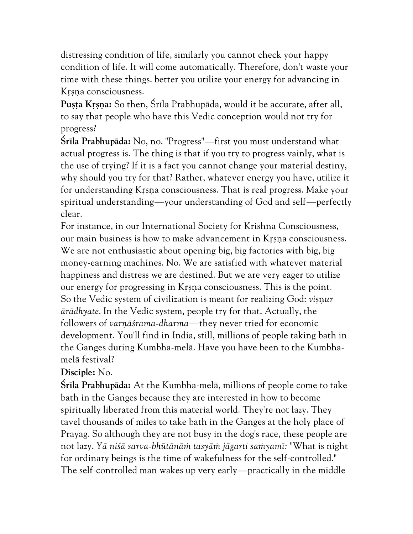distressing condition of life, similarly you cannot check your happy condition of life. It will come automatically. Therefore, don't waste your time with these things. better you utilize your energy for advancing in Krsna consciousness.

Pusta Krsna: So then, Śrīla Prabhupāda, would it be accurate, after all, to say that people who have this Vedic conception would not try for progress?

**Çréla Prabhupäda:** No, no. "Progress"—first you must understand what actual progress is. The thing is that if you try to progress vainly, what is the use of trying? If it is a fact you cannot change your material destiny, why should you try for that? Rather, whatever energy you have, utilize it for understanding Krsna consciousness. That is real progress. Make your spiritual understanding—your understanding of God and self—perfectly clear.

For instance, in our International Society for Krishna Consciousness, our main business is how to make advancement in Krsna consciousness. We are not enthusiastic about opening big, big factories with big, big money-earning machines. No. We are satisfied with whatever material happiness and distress we are destined. But we are very eager to utilize our energy for progressing in Krsna consciousness. This is the point. So the Vedic system of civilization is meant for realizing God: *visnur ärädhyate.* In the Vedic system, people try for that. Actually, the followers of *varnāśrama-dharma*—they never tried for economic development. You'll find in India, still, millions of people taking bath in the Ganges during Kumbha-melä. Have you have been to the Kumbhamelä festival?

**Disciple:** No.

**Srīla Prabhupāda:** At the Kumbha-melā, millions of people come to take bath in the Ganges because they are interested in how to become spiritually liberated from this material world. They're not lazy. They tavel thousands of miles to take bath in the Ganges at the holy place of Prayag. So although they are not busy in the dog's race, these people are not lazy. *Yä niçä sarva-bhütänäà tasyäà jägarti saàyamé:* "What is night for ordinary beings is the time of wakefulness for the self-controlled." The self-controlled man wakes up very early—practically in the middle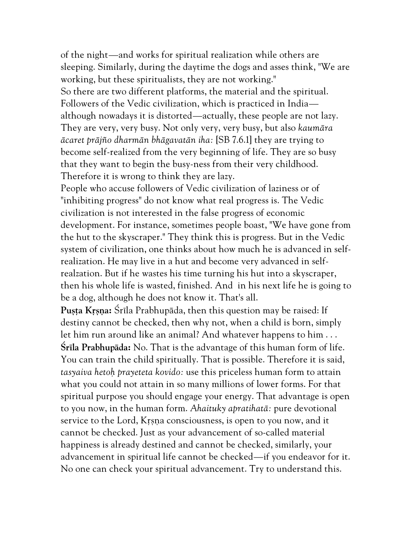of the night—and works for spiritual realization while others are sleeping. Similarly, during the daytime the dogs and asses think, "We are working, but these spiritualists, they are not working." So there are two different platforms, the material and the spiritual. Followers of the Vedic civilization, which is practiced in India although nowadays it is distorted—actually, these people are not lazy. They are very, very busy. Not only very, very busy, but also *kaumära äcaret präjïo dharmän bhägavatän iha:* [SB 7.6.1] they are trying to become self-realized from the very beginning of life. They are so busy that they want to begin the busy-ness from their very childhood. Therefore it is wrong to think they are lazy.

People who accuse followers of Vedic civilization of laziness or of "inhibiting progress" do not know what real progress is. The Vedic civilization is not interested in the false progress of economic development. For instance, sometimes people boast, "We have gone from the hut to the skyscraper." They think this is progress. But in the Vedic system of civilization, one thinks about how much he is advanced in selfrealization. He may live in a hut and become very advanced in selfrealzation. But if he wastes his time turning his hut into a skyscraper, then his whole life is wasted, finished. And in his next life he is going to be a dog, although he does not know it. That's all.

Pușta Krșņa: Śrīla Prabhupāda, then this question may be raised: If destiny cannot be checked, then why not, when a child is born, simply let him run around like an animal? And whatever happens to him . . . **Śrīla Prabhupāda:** No. That is the advantage of this human form of life. You can train the child spiritually. That is possible. Therefore it is said, *tasyaiva hetoù prayeteta kovido:* use this priceless human form to attain what you could not attain in so many millions of lower forms. For that spiritual purpose you should engage your energy. That advantage is open to you now, in the human form. *Ahaituky apratihatä:* pure devotional service to the Lord, Krsna consciousness, is open to you now, and it cannot be checked. Just as your advancement of so-called material happiness is already destined and cannot be checked, similarly, your advancement in spiritual life cannot be checked—if you endeavor for it. No one can check your spiritual advancement. Try to understand this.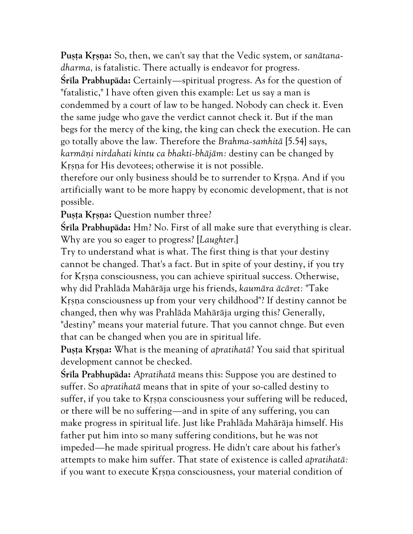**Pusta Krsna:** So, then, we can't say that the Vedic system, or *sanātanadharma,* is fatalistic. There actually is endeavor for progress.

**Śrīla Prabhupāda:** Certainly—spiritual progress. As for the question of "fatalistic," I have often given this example: Let us say a man is condemmed by a court of law to be hanged. Nobody can check it. Even the same judge who gave the verdict cannot check it. But if the man begs for the mercy of the king, the king can check the execution. He can go totally above the law. Therefore the *Brahma-saàhitä* [5.54] says, *karmäëi nirdahati kintu ca bhakti-bhäjäm:* destiny can be changed by Krsna for His devotees; otherwise it is not possible.

therefore our only business should be to surrender to Krsna. And if you artificially want to be more happy by economic development, that is not possible.

Pusta Krsna: Question number three?

**Śrīla Prabhupāda:** Hm? No. First of all make sure that everything is clear. Why are you so eager to progress? [*Laughter.*]

Try to understand what is what. The first thing is that your destiny cannot be changed. That's a fact. But in spite of your destiny, if you try for Krsna consciousness, you can achieve spiritual success. Otherwise, why did Prahläda Mahäräja urge his friends, *kaumära äcäret:* "Take Krsna consciousness up from your very childhood"? If destiny cannot be changed, then why was Prahläda Mahäräja urging this? Generally, "destiny" means your material future. That you cannot chnge. But even that can be changed when you are in spiritual life.

Pusta Krsna: What is the meaning of *apratihatā*? You said that spiritual development cannot be checked.

**Śrīla Prabhupāda:** *Apratihatā* means this: Suppose you are destined to suffer. So *apratihatä* means that in spite of your so-called destiny to suffer, if you take to Krsna consciousness your suffering will be reduced, or there will be no suffering—and in spite of any suffering, you can make progress in spiritual life. Just like Prahläda Mahäräja himself. His father put him into so many suffering conditions, but he was not impeded—he made spiritual progress. He didn't care about his father's attempts to make him suffer. That state of existence is called *apratihatä:* if you want to execute Krsna consciousness, your material condition of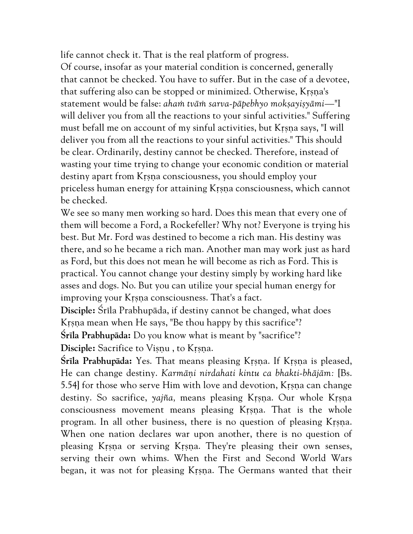life cannot check it. That is the real platform of progress.

Of course, insofar as your material condition is concerned, generally that cannot be checked. You have to suffer. But in the case of a devotee, that suffering also can be stopped or minimized. Otherwise, Krsna's statement would be false: *aham tvām sarva-pāpebhyo moksayisyāmi*—"I will deliver you from all the reactions to your sinful activities." Suffering must befall me on account of my sinful activities, but Krsna says, "I will deliver you from all the reactions to your sinful activities." This should be clear. Ordinarily, destiny cannot be checked. Therefore, instead of wasting your time trying to change your economic condition or material destiny apart from Krsna consciousness, you should employ your priceless human energy for attaining Krsna consciousness, which cannot be checked.

We see so many men working so hard. Does this mean that every one of them will become a Ford, a Rockefeller? Why not? Everyone is trying his best. But Mr. Ford was destined to become a rich man. His destiny was there, and so he became a rich man. Another man may work just as hard as Ford, but this does not mean he will become as rich as Ford. This is practical. You cannot change your destiny simply by working hard like asses and dogs. No. But you can utilize your special human energy for improving your Krsna consciousness. That's a fact.

Disciple: Śrīla Prabhupāda, if destiny cannot be changed, what does Krsna mean when He says, "Be thou happy by this sacrifice"?

**Śrīla Prabhupāda:** Do you know what is meant by "sacrifice"?

Disciple: Sacrifice to Visnu, to Krsna.

**Śrīla Prabhupāda:** Yes. That means pleasing Krsna. If Krsna is pleased, He can change destiny. *Karmäëi nirdahati kintu ca bhakti-bhäjäm:* [Bs. 5.54] for those who serve Him with love and devotion, Krsna can change destiny. So sacrifice, *yajña*, means pleasing Krsna. Our whole Krsna consciousness movement means pleasing Krsna. That is the whole program. In all other business, there is no question of pleasing Krsna. When one nation declares war upon another, there is no question of pleasing Krsna or serving Krsna. They're pleasing their own senses, serving their own whims. When the First and Second World Wars began, it was not for pleasing Krsna. The Germans wanted that their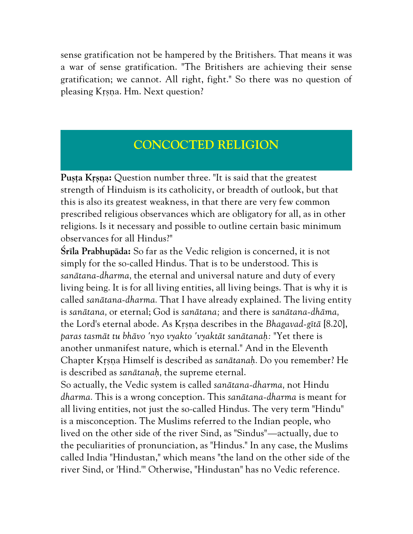sense gratification not be hampered by the Britishers. That means it was a war of sense gratification. "The Britishers are achieving their sense gratification; we cannot. All right, fight." So there was no question of pleasing Krsna. Hm. Next question?

### **CONCOCTED RELIGION**

Pusta Krsna: Question number three. "It is said that the greatest strength of Hinduism is its catholicity, or breadth of outlook, but that this is also its greatest weakness, in that there are very few common prescribed religious observances which are obligatory for all, as in other religions. Is it necessary and possible to outline certain basic minimum observances for all Hindus?"

**Śrīla Prabhupāda:** So far as the Vedic religion is concerned, it is not simply for the so-called Hindus. That is to be understood. This is *sanätana-dharma,* the eternal and universal nature and duty of every living being. It is for all living entities, all living beings. That is why it is called *sanätana-dharma.* That I have already explained. The living entity is *sanätana,* or eternal; God is *sanätana;* and there is *sanätana-dhäma,* the Lord's eternal abode. As Kåñëa describes in the *Bhagavad-gétä* [8.20], *paras tasmät tu bhävo 'nyo vyakto 'vyaktät sanätanaù:* "Yet there is another unmanifest nature, which is eternal." And in the Eleventh Chapter Kåñëa Himself is described as *sanätanaù.* Do you remember? He is described as *sanätanaù,* the supreme eternal.

So actually, the Vedic system is called *sanätana-dharma,* not Hindu *dharma.* This is a wrong conception. This *sanätana-dharma* is meant for all living entities, not just the so-called Hindus. The very term "Hindu" is a misconception. The Muslims referred to the Indian people, who lived on the other side of the river Sind, as "Sindus"—actually, due to the peculiarities of pronunciation, as "Hindus." In any case, the Muslims called India "Hindustan," which means "the land on the other side of the river Sind, or 'Hind.'" Otherwise, "Hindustan" has no Vedic reference.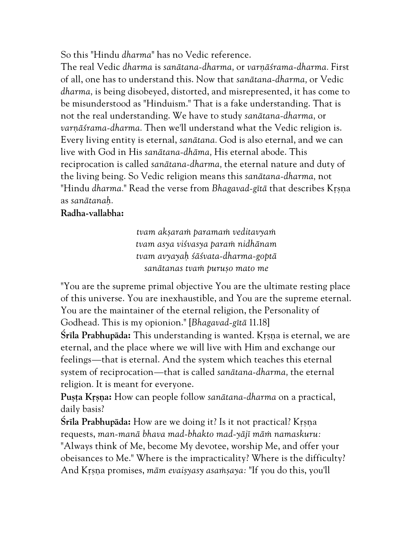So this "Hindu *dharma*" has no Vedic reference.

The real Vedic *dharma* is *sanātana-dharma*, or *varnāśrama-dharma*. First of all, one has to understand this. Now that *sanätana-dharma,* or Vedic *dharma,* is being disobeyed, distorted, and misrepresented, it has come to be misunderstood as "Hinduism." That is a fake understanding. That is not the real understanding. We have to study *sanätana-dharma,* or varņāśrama-dharma. Then we'll understand what the Vedic religion is. Every living entity is eternal, *sanätana.* God is also eternal, and we can live with God in His *sanätana-dhäma,* His eternal abode. This reciprocation is called *sanätana-dharma,* the eternal nature and duty of the living being. So Vedic religion means this *sanätana-dharma,* not "Hindu *dharma.*" Read the verse from *Bhagavad-gītā* that describes Krsna as *sanätanaù.*

#### **Radha-vallabha:**

*tvam akñaraà paramaà veditavyaà tvam asya viçvasya paraà nidhänam tvam avyayaù çäçvata-dharma-goptä sanätanas tvaà puruño mato me*

"You are the supreme primal objective You are the ultimate resting place of this universe. You are inexhaustible, and You are the supreme eternal. You are the maintainer of the eternal religion, the Personality of Godhead. This is my opionion." [*Bhagavad-gétä* 11.18] **Śrīla Prabhupāda:** This understanding is wanted. Krsņa is eternal, we are eternal, and the place where we will live with Him and exchange our feelings—that is eternal. And the system which teaches this eternal system of reciprocation—that is called *sanätana-dharma,* the eternal religion*.* It is meant for everyone.

Pusta Krsna: How can people follow *sanātana-dharma* on a practical, daily basis?

**Śrīla Prabhupāda:** How are we doing it? Is it not practical? Krsna requests, *man-manä bhava mad-bhakto mad-yäjé mäà namaskuru:* "Always think of Me, become My devotee, worship Me, and offer your obeisances to Me." Where is the impracticality? Where is the difficulty? And Krsna promises, *mām evaisyasy asamsaya:* "If you do this, you'll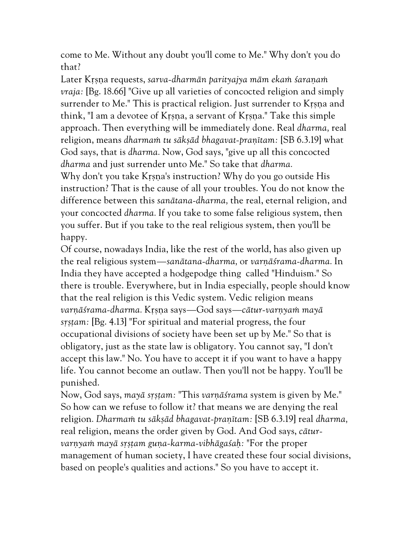come to Me. Without any doubt you'll come to Me." Why don't you do that?

Later Krsna requests, *sarva-dharmān parityajya mām ekam śaranam vraja:* [Bg. 18.66] "Give up all varieties of concocted religion and simply surrender to Me." This is practical religion. Just surrender to Krsna and think, "I am a devotee of Krsna, a servant of Krsna." Take this simple approach. Then everything will be immediately done. Real *dharma,* real religion, means *dharmam tu sākṣād bhagavat-praṇītam:* [SB 6.3.19] what God says, that is *dharma.* Now, God says, "give up all this concocted *dharma* and just surrender unto Me." So take that *dharma.*

Why don't you take Krsna's instruction? Why do you go outside His instruction? That is the cause of all your troubles. You do not know the difference between this *sanätana-dharma,* the real, eternal religion, and your concocted *dharma.* If you take to some false religious system, then you suffer. But if you take to the real religious system, then you'll be happy.

Of course, nowadays India, like the rest of the world, has also given up the real religious system—*sanātana-dharma*, or *varnāśrama-dharma*. In India they have accepted a hodgepodge thing called "Hinduism." So there is trouble. Everywhere, but in India especially, people should know that the real religion is this Vedic system. Vedic religion means *varnāśrama-dharma.* Krsna says—God says—*cātur-varnyam mayā srstam:* [Bg. 4.13] "For spiritual and material progress, the four occupational divisions of society have been set up by Me." So that is obligatory, just as the state law is obligatory. You cannot say, "I don't accept this law." No. You have to accept it if you want to have a happy life. You cannot become an outlaw. Then you'll not be happy. You'll be punished.

Now, God says, *mayā srstam:* "This *varnāśrama* system is given by Me." So how can we refuse to follow it? that means we are denying the real religion. Dharmam tu sāksād bhagavat-pranītam: [SB 6.3.19] real *dharma*, real religion, means the order given by God. And God says, *cätur*varnyam mayā srstam guņa-karma-vibhāgasaḥ: "For the proper management of human society, I have created these four social divisions, based on people's qualities and actions." So you have to accept it.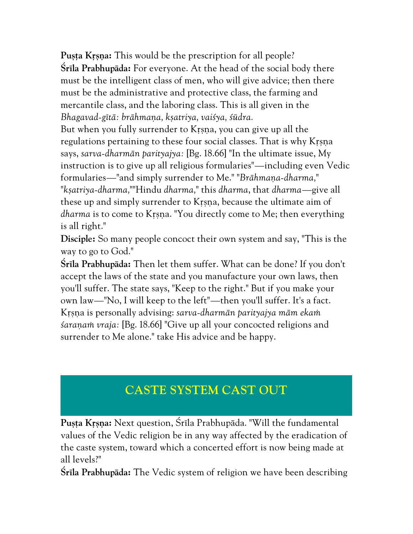**Pusta Krsna:** This would be the prescription for all people? **Śrīla Prabhupāda:** For everyone. At the head of the social body there must be the intelligent class of men, who will give advice; then there must be the administrative and protective class, the farming and mercantile class, and the laboring class. This is all given in the Bhagavad-gītā: brāhmana, ksatriya, vaiśya, śūdra.

But when you fully surrender to Krsna, you can give up all the regulations pertaining to these four social classes. That is why Krsna says, *sarva-dharmän parityajya:* [Bg. 18.66] "In the ultimate issue, My instruction is to give up all religious formularies"—including even Vedic formularies—"and simply surrender to Me." "Brāhmana-dharma," "*kñatriya-dharma,*""Hindu *dharma,*" this *dharma*, that *dharma*—give all these up and simply surrender to Krsna, because the ultimate aim of *dharma* is to come to Krsna. "You directly come to Me; then everything is all right."

**Disciple:** So many people concoct their own system and say, "This is the way to go to God."

**Śrīla Prabhupāda:** Then let them suffer. What can be done? If you don't accept the laws of the state and you manufacture your own laws, then you'll suffer. The state says, "Keep to the right." But if you make your own law—"No, I will keep to the left"—then you'll suffer. It's a fact. Krsna is personally advising: *sarva-dharmān parityajya mām ekam faranam vraja:* [Bg. 18.66] "Give up all your concocted religions and surrender to Me alone." take His advice and be happy.

### **CASTE SYSTEM CAST OUT**

Pușta Krșņa: Next question, Śrīla Prabhupāda. "Will the fundamental values of the Vedic religion be in any way affected by the eradication of the caste system, toward which a concerted effort is now being made at all levels?"

**Śrīla Prabhupāda:** The Vedic system of religion we have been describing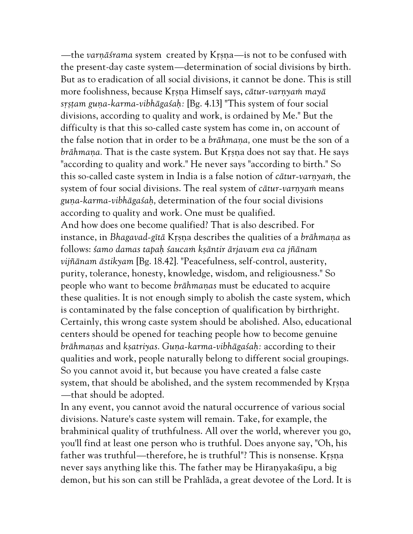—the *varnāśrama* system created by Krsna—is not to be confused with the present-day caste system—determination of social divisions by birth. But as to eradication of all social divisions, it cannot be done. This is still more foolishness, because Krsna Himself says, *cātur-varnyam mayā srstam guna-karma-vibhāgaśah:* [Bg. 4.13] "This system of four social divisions, according to quality and work, is ordained by Me." But the difficulty is that this so-called caste system has come in, on account of the false notion that in order to be a *brāhmana*, one must be the son of a *brāhmana*. That is the caste system. But Krsna does not say that. He says "according to quality and work." He never says "according to birth." So this so-called caste system in India is a false notion of *cātur-varnyam*, the system of four social divisions. The real system of *cātur-varnyam* means guna-karma-vibhāgasah, determination of the four social divisions according to quality and work. One must be qualified. And how does one become qualified? That is also described. For instance, in *Bhagavad-gītā* Krsna describes the qualities of a *brāhmana* as follows: *çamo damas tapaù çaucaà kñäntir ärjavam eva ca jïänam vijïänam ästikyam* [Bg. 18.42]*.* "Peacefulness, self-control, austerity, purity, tolerance, honesty, knowledge, wisdom, and religiousness." So people who want to become *brāhmanas* must be educated to acquire these qualities. It is not enough simply to abolish the caste system, which is contaminated by the false conception of qualification by birthright. Certainly, this wrong caste system should be abolished. Also, educational centers should be opened for teaching people how to become genuine *brähmaëas* and *kñatriyas. Guëa-karma-vibhägaçaù:* according to their qualities and work, people naturally belong to different social groupings. So you cannot avoid it, but because you have created a false caste system, that should be abolished, and the system recommended by Krsna —that should be adopted.

In any event, you cannot avoid the natural occurrence of various social divisions. Nature's caste system will remain. Take, for example, the brahminical quality of truthfulness. All over the world, wherever you go, you'll find at least one person who is truthful. Does anyone say, "Oh, his father was truthful—therefore, he is truthful"? This is nonsense. Krsna never says anything like this. The father may be Hiranyakasipu, a big demon, but his son can still be Prahläda, a great devotee of the Lord. It is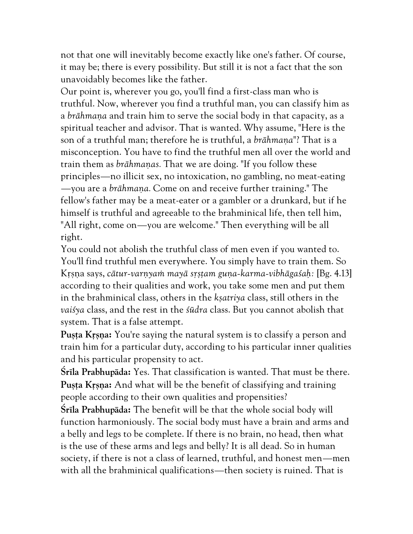not that one will inevitably become exactly like one's father. Of course, it may be; there is every possibility. But still it is not a fact that the son unavoidably becomes like the father.

Our point is, wherever you go, you'll find a first-class man who is truthful. Now, wherever you find a truthful man, you can classify him as a *brāhmana* and train him to serve the social body in that capacity, as a spiritual teacher and advisor. That is wanted. Why assume, "Here is the son of a truthful man; therefore he is truthful, a *brāhmana*"? That is a misconception. You have to find the truthful men all over the world and train them as *brāhmaņas*. That we are doing. "If you follow these principles—no illicit sex, no intoxication, no gambling, no meat-eating —you are a *brähmaëa.* Come on and receive further training." The fellow's father may be a meat-eater or a gambler or a drunkard, but if he himself is truthful and agreeable to the brahminical life, then tell him, "All right, come on—you are welcome." Then everything will be all right.

You could not abolish the truthful class of men even if you wanted to. You'll find truthful men everywhere. You simply have to train them. So Krsna says, cātur-varņyam mayā srstam guņa-karma-vibhāgasaḥ: [Bg. 4.13] according to their qualities and work, you take some men and put them in the brahminical class, others in the *kṣatriya* class, still others in the *vaiçya* class, and the rest in the *çüdra* class. But you cannot abolish that system. That is a false attempt.

Pusta Krsna: You're saying the natural system is to classify a person and train him for a particular duty, according to his particular inner qualities and his particular propensity to act.

**Śrīla Prabhupāda:** Yes. That classification is wanted. That must be there. Pușta Krșņa: And what will be the benefit of classifying and training people according to their own qualities and propensities?

**Srila Prabhupāda:** The benefit will be that the whole social body will function harmoniously. The social body must have a brain and arms and a belly and legs to be complete. If there is no brain, no head, then what is the use of these arms and legs and belly? It is all dead. So in human society, if there is not a class of learned, truthful, and honest men—men with all the brahminical qualifications—then society is ruined. That is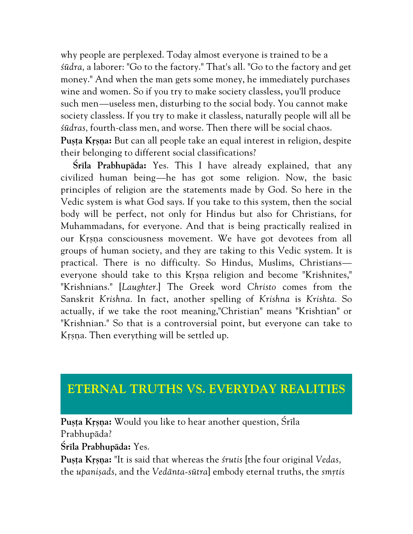why people are perplexed. Today almost everyone is trained to be a *çüdra,* a laborer: "Go to the factory." That's all. "Go to the factory and get money." And when the man gets some money, he immediately purchases wine and women. So if you try to make society classless, you'll produce such men—useless men, disturbing to the social body. You cannot make society classless. If you try to make it classless, naturally people will all be *çüdras,* fourth-class men, and worse. Then there will be social chaos. Pusta Krsna: But can all people take an equal interest in religion, despite their belonging to different social classifications?

**Śrīla Prabhupāda:** Yes. This I have already explained, that any civilized human being—he has got some religion. Now, the basic principles of religion are the statements made by God. So here in the Vedic system is what God says. If you take to this system, then the social body will be perfect, not only for Hindus but also for Christians, for Muhammadans, for everyone. And that is being practically realized in our Krsna consciousness movement. We have got devotees from all groups of human society, and they are taking to this Vedic system. It is practical. There is no difficulty. So Hindus, Muslims, Christians everyone should take to this Krsna religion and become "Krishnites," "Krishnians." [*Laughter.*] The Greek word *Christo* comes from the Sanskrit *Krishna.* In fact, another spelling of *Krishna* is *Krishta.* So actually, if we take the root meaning,"Christian" means "Krishtian" or "Krishnian." So that is a controversial point, but everyone can take to Krsna. Then everything will be settled up.

#### **ETERNAL TRUTHS VS. EVERYDAY REALITIES**

Pusta Krsna: Would you like to hear another question, Śrīla Prabhupäda?

**Çréla Prabhupäda:** Yes.

**Pusta Krsna:** "It is said that whereas the *srutis* [the four original *Vedas*, the *upanisads*, and the *Vedānta-sūtra*] embody eternal truths, the *smrtis*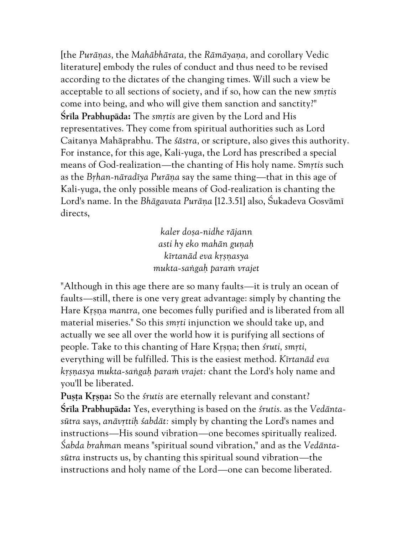[the *Puräëas,* the *Mahäbhärata,* the *Rämäyaëa,* and corollary Vedic literature] embody the rules of conduct and thus need to be revised according to the dictates of the changing times. Will such a view be acceptable to all sections of society, and if so, how can the new *smrtis* come into being, and who will give them sanction and sanctity?" **Śrīla Prabhupāda:** The *smrtis* are given by the Lord and His representatives. They come from spiritual authorities such as Lord Caitanya Mahäprabhu. The *çästra,* or scripture, also gives this authority. For instance, for this age, Kali-yuga, the Lord has prescribed a special means of God-realization—the chanting of His holy name. Smrtis such as the *Brhan-nāradīya Purāņa* say the same thing—that in this age of Kali-yuga, the only possible means of God-realization is chanting the Lord's name. In the *Bhāgavata Purāna* [12.3.51] also, Śukadeva Gosvāmī directs,

> *kaler doña-nidhe räjann asti hy eko mahān gunah kértanäd eva kåñëasya mukta-saìgaù paraà vrajet*

"Although in this age there are so many faults—it is truly an ocean of faults—still, there is one very great advantage: simply by chanting the Hare Krsna *mantra*, one becomes fully purified and is liberated from all material miseries." So this *smrti* injunction we should take up, and actually we see all over the world how it is purifying all sections of people. Take to this chanting of Hare Krsna; then *śruti*, smrti, everything will be fulfilled. This is the easiest method. *Kértanäd eva krsnasya mukta-sañgah param vrajet:* chant the Lord's holy name and you'll be liberated.

Pusta Krsna: So the *śrutis* are eternally relevant and constant? **Śrīla Prabhupāda:** Yes, everything is based on the *śrutis*. as the *Vedānta*sūtra says, anāvrttiņ sabdāt: simply by chanting the Lord's names and instructions—His sound vibration—one becomes spiritually realized. *Çabda brahman* means "spiritual sound vibration," and as the *Vedäntasütra* instructs us, by chanting this spiritual sound vibration—the instructions and holy name of the Lord—one can become liberated.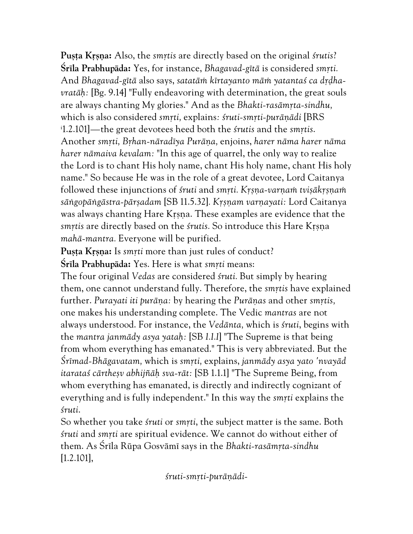**Pusta Krsna:** Also, the *smrtis* are directly based on the original *śrutis*?  $\oint$ rīla Prabhupāda: Yes, for instance, *Bhagavad-gītā* is considered *smrti.* And Bhagavad-gītā also says, satatām kīrtayanto mām yatantas ca drdha*vratäù:* [Bg. 9.14] "Fully endeavoring with determination, the great souls are always chanting My glories." And as the Bhakti-rasāmrta-sindhu, which is also considered *smrti*, explains: *śruti-smrti-purānādi* [BRS <sup>1</sup>1.2.101]—the great devotees heed both the *śrut[i](#page-58-0)s* and the *smṛtis*. Another *småti, Båhan-näradéya Puräëa,* enjoins, *harer näma harer näma harer nämaiva kevalam:* "In this age of quarrel, the only way to realize the Lord is to chant His holy name, chant His holy name, chant His holy name." So because He was in the role of a great devotee, Lord Caitanya followed these injunctions of *śruti* and *smrti. Krsna-varnam tvisākrsnam säìgopäìgästra-pärñadam* [SB 11.5.32]*. Kåñëam varëayati:* Lord Caitanya was always chanting Hare Krsna. These examples are evidence that the *smrtis* are directly based on the *śrutis*. So introduce this Hare Krsna *mahä-mantra.* Everyone will be purified.

Pușta Krșņa: Is *smrti* more than just rules of conduct?  $\hat{\text{S}}$ rīla Prabhupāda: Yes. Here is what *smrti* means:

The four original *Vedas* are considered *çruti.* But simply by hearing them, one cannot understand fully. Therefore, the *smrtis* have explained further. *Purayati iti purāna:* by hearing the *Purānas* and other *smrtis*, one makes his understanding complete. The Vedic *mantras* are not always understood. For instance, the *Vedänta,* which is *çruti*, begins with the *mantra janmädy asya yataù:* [SB *1.1.1*] "The Supreme is that being from whom everything has emanated." This is very abbreviated. But the *Çrémad-Bhägavatam,* which is *småti,* explains, *janmädy asya yato 'nvayäd itarataś cārtheșv abhijñāh sva-rāt:* [SB 1.1.1] "The Supreme Being, from whom everything has emanated, is directly and indirectly cognizant of everything and is fully independent." In this way the *smrti* explains the *çruti*.

So whether you take *śruti* or *smrti*, the subject matter is the same. Both *fruti* and *smrti* are spiritual evidence. We cannot do without either of them. As Śrīla Rūpa Gosvāmī says in the *Bhakti-rasāmrta-sindhu* [1.2.101],

*çruti-småti-puräëädi-*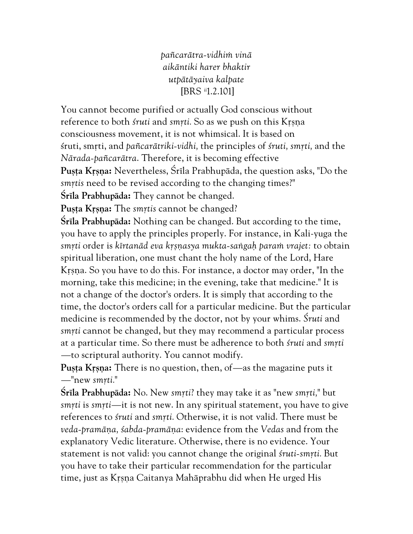*païcarätra-vidhià vinä aikäntiki harer bhaktir utpätäyaiva kalpate* [BRS *[ii](#page-59-0)*1.2.101]

You cannot become purified or actually God conscious without reference to both *śruti* and *smrti*. So as we push on this Krsna consciousness movement, it is not whimsical. It is based on  $s$ ruti, smṛti, and *pañcarātriki-vidhi*, the principles of *śruti*, *smṛti*, and the *Närada-païcarätra*. Therefore, it is becoming effective **Pusta Krsna:** Nevertheless, Śrīla Prabhupāda, the question asks, "Do the smrtis need to be revised according to the changing times?"

**Śrīla Prabhupāda:** They cannot be changed.

Pusta Krsna: The *smrtis* cannot be changed?

**Śrīla Prabhupāda:** Nothing can be changed. But according to the time, you have to apply the principles properly. For instance, in Kali-yuga the *småti* order is *kértanäd eva kåñëasya mukta-saìgaù paraà vrajet:* to obtain spiritual liberation, one must chant the holy name of the Lord, Hare Krsna. So you have to do this. For instance, a doctor may order, "In the morning, take this medicine; in the evening, take that medicine." It is not a change of the doctor's orders. It is simply that according to the time, the doctor's orders call for a particular medicine. But the particular medicine is recommended by the doctor, not by your whims. *Çruti* and *smrti* cannot be changed, but they may recommend a particular process at a particular time. So there must be adherence to both *çruti* and *småti* —to scriptural authority. You cannot modify.

**Pusta Krsna:** There is no question, then, of—as the magazine puts it —"new smrti."

**Śrīla Prabhupāda:** No. New *smrti*? they may take it as "new *smrti*," but *smrti* is *smrti—it* is not new. In any spiritual statement, you have to give references to *çruti* and *småti.* Otherwise, it is not valid. There must be *veda-pramāņa, šabda-pramāņa*: evidence from the *Vedas* and from the explanatory Vedic literature. Otherwise, there is no evidence. Your statement is not valid: you cannot change the original *çruti-småti.* But you have to take their particular recommendation for the particular time, just as Krsna Caitanya Mahāprabhu did when He urged His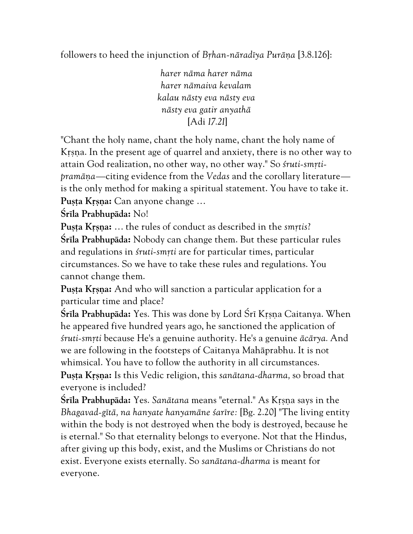followers to heed the injunction of *Båhan-näradéya Puräëa* [3.8.126]:

*harer näma harer näma harer nämaiva kevalam kalau nästy eva nästy eva nästy eva gatir anyathä* [Adi *17.21*]

"Chant the holy name, chant the holy name, chant the holy name of Krsna. In the present age of quarrel and anxiety, there is no other way to attain God realization, no other way, no other way." So *śruti-smrtipramāna—citing evidence from the Vedas and the corollary literature* is the only method for making a spiritual statement. You have to take it. Pusta Krsna: Can anyone change ...

**Çréla Prabhupäda:** No!

Pușta Krșņa: ... the rules of conduct as described in the *smrtis*? **Śrīla Prabhupāda:** Nobody can change them. But these particular rules and regulations in *çruti-småti* are for particular times, particular circumstances. So we have to take these rules and regulations. You cannot change them.

**Pusta Krsna:** And who will sanction a particular application for a particular time and place?

**Śrīla Prabhupāda:** Yes. This was done by Lord Śrī Krsņa Caitanya. When he appeared five hundred years ago, he sanctioned the application of *çruti-småti* because He's a genuine authority. He's a genuine *äcärya.* And we are following in the footsteps of Caitanya Mahäprabhu. It is not whimsical. You have to follow the authority in all circumstances. **Pusta Krsna:** Is this Vedic religion, this *sanātana-dharma*, so broad that

everyone is included?

**Śrīla Prabhupāda:** Yes. *Sanātana* means "eternal." As Krsna says in the *Bhagavad-gétä, na hanyate hanyamäne çarére:* [Bg. 2.20] "The living entity within the body is not destroyed when the body is destroyed, because he is eternal." So that eternality belongs to everyone. Not that the Hindus, after giving up this body, exist, and the Muslims or Christians do not exist. Everyone exists eternally. So *sanätana-dharma* is meant for everyone.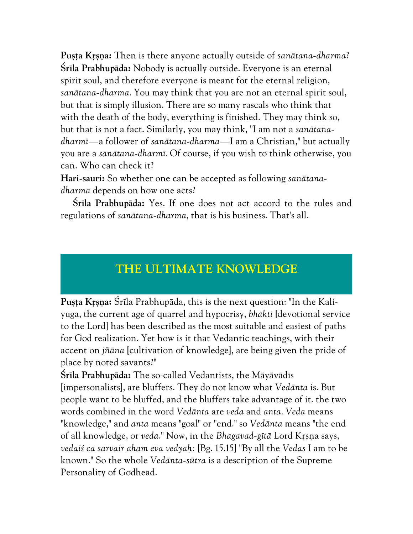**Pușta Krșna:** Then is there anyone actually outside of *sanātana-dharma*? **Śrīla Prabhupāda:** Nobody is actually outside. Everyone is an eternal spirit soul, and therefore everyone is meant for the eternal religion, *sanätana-dharma.* You may think that you are not an eternal spirit soul, but that is simply illusion. There are so many rascals who think that with the death of the body, everything is finished. They may think so, but that is not a fact. Similarly, you may think, "I am not a *sanätanadharmé—*a follower of *sanätana-dharma*—I am a Christian," but actually you are a *sanätana-dharmé.* Of course, if you wish to think otherwise, you can. Who can check it?

**Hari-sauri:** So whether one can be accepted as following *sanätanadharma* depends on how one acts?

**Śrīla Prabhupāda:** Yes. If one does not act accord to the rules and regulations of *sanätana-dharma,* that is his business. That's all.

## **THE ULTIMATE KNOWLEDGE**

Pusta Krsna: Śrīla Prabhupāda, this is the next question: "In the Kaliyuga, the current age of quarrel and hypocrisy, *bhakti* [devotional service to the Lord] has been described as the most suitable and easiest of paths for God realization. Yet how is it that Vedantic teachings, with their accent on *jïäna* [cultivation of knowledge], are being given the pride of place by noted savants?"

**Çréla Prabhupäda:** The so-called Vedantists, the Mäyävädés [impersonalists], are bluffers. They do not know what *Vedänta* is. But people want to be bluffed, and the bluffers take advantage of it. the two words combined in the word *Vedänta* are *veda* and *anta. Veda* means "knowledge," and *anta* means "goal" or "end." so *Vedänta* means "the end of all knowledge, or *veda*." Now, in the *Bhagavad-gītā* Lord Krsna says, *vedaiç ca sarvair aham eva vedyaù:* [Bg. 15.15] "By all the *Vedas* I am to be known." So the whole *Vedänta-sütra* is a description of the Supreme Personality of Godhead.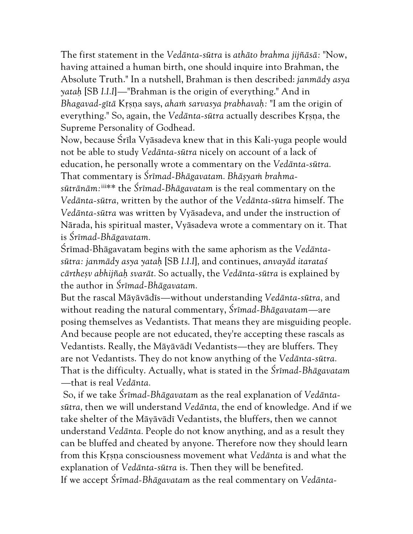The first statement in the *Vedänta-sütra* is *athäto brahma jijïäsä:* "Now, having attained a human birth, one should inquire into Brahman, the Absolute Truth." In a nutshell, Brahman is then described: *janmädy asya yataù* [SB *1.1.1*]—"Brahman is the origin of everything." And in *Bhagavad-gétä* Kåñëa says, *ahaà sarvasya prabhavaù:* "I am the origin of everything." So, again, the *Vedānta-sūtra* actually describes Krsna, the Supreme Personality of Godhead.

Now, because Śrīla Vyāsadeva knew that in this Kali-yuga people would not be able to study *Vedänta-sütra* nicely on account of a lack of education, he personally wrote a commentary on the *Vedänta-sütra.* That commentary is Śrīmad-Bhāgavatam. Bhāșyam brahma-

*sütränäm:*[iii](#page-59-1)*\*\** the *Çrémad-Bhägavatam* is the real commentary on the *Vedänta-sütra,* written by the author of the *Vedänta-sütra* himself. The *Vedänta-sütra* was written by Vyäsadeva, and under the instruction of Närada, his spiritual master, Vyäsadeva wrote a commentary on it*.* That is *Çrémad-Bhägavatam.*

Srimad-Bhāgavatam begins with the same aphorism as the *Vedāntasütra: janmädy asya yataù* [SB *1.1.1*]*,* and continues, *anvayäd itarataç cärtheñv abhijïaù svarät.* So actually, the *Vedänta-sütra* is explained by the author in *Çrémad-Bhägavatam.*

But the rascal Mäyävädés—without understanding *Vedänta-sütra,* and without reading the natural commentary, *Çrémad-Bhägavatam*—are posing themselves as Vedantists. That means they are misguiding people. And because people are not educated, they're accepting these rascals as Vedantists. Really, the Mäyävädé Vedantists—they are bluffers. They are not Vedantists. They do not know anything of the *Vedänta-sütra.* That is the difficulty. Actually, what is stated in the *Çrémad-Bhägavatam* —that is real *Vedänta.*

 So, if we take *Çrémad-Bhägavatam* as the real explanation of *Vedäntasütra,* then we will understand *Vedänta,* the end of knowledge. And if we take shelter of the Māyāvādī Vedantists, the bluffers, then we cannot understand *Vedänta.* People do not know anything, and as a result they can be bluffed and cheated by anyone. Therefore now they should learn from this Krsna consciousness movement what *Vedānta* is and what the explanation of *Vedänta-sütra* is. Then they will be benefited. If we accept *Çrémad-Bhägavatam* as the real commentary on *Vedänta-*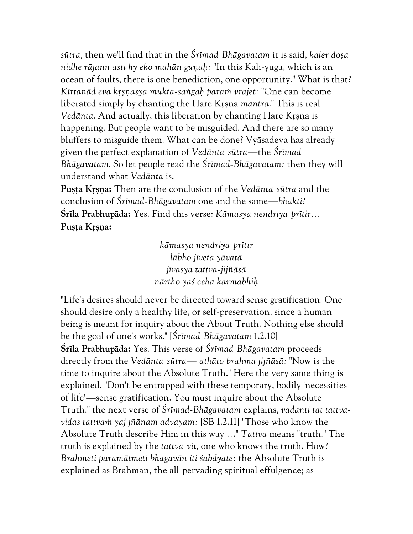sūtra, then we'll find that in the *Śrīmad-Bhāgavatam* it is said, kaler doșa*nidhe räjann asti hy eko mahän guëaù:* "In this Kali-yuga, which is an ocean of faults, there is one benediction, one opportunity." What is that? Kīrtanād eva krsņasya mukta-saṅgaḥ paraṁ vrajet: "One can become liberated simply by chanting the Hare Krsna *mantra*." This is real *Vedānta.* And actually, this liberation by chanting Hare Krsna is happening. But people want to be misguided. And there are so many bluffers to misguide them. What can be done? Vyäsadeva has already given the perfect explanation of Vedānta-sūtra-the Śrīmad-*Bhägavatam.* So let people read the *Çrémad-Bhägavatam;* then they will understand what *Vedänta* is.

Pusta Krsna: Then are the conclusion of the *Vedānta-sūtra* and the conclusion of *Çrémad-Bhägavatam* one and the same—*bhakti*?  $\hat{\mathbf{S}}$ rīla Prabhupāda: Yes. Find this verse: *Kāmasya nendriya-prītir*… Pușța Krsna:

> *kämasya nendriya-prétir läbho jéveta yävatä jévasya tattva-jijïäsä närtho yaç ceha karmabhiù*

"Life's desires should never be directed toward sense gratification. One should desire only a healthy life, or self-preservation, since a human being is meant for inquiry about the About Truth. Nothing else should be the goal of one's works." [*Çrémad-Bhägavatam* 1.2.10] **Çréla Prabhupäda:** Yes. This verse of *Çrémad-Bhägavatam* proceeds directly from the *Vedänta-sütra— athäto brahma jijïäsä:* "Now is the time to inquire about the Absolute Truth." Here the very same thing is explained. "Don't be entrapped with these temporary, bodily 'necessities of life'—sense gratification. You must inquire about the Absolute Truth." the next verse of *Çrémad-Bhägavatam* explains, *vadanti tat tattva*vidas tattvam yaj jñānam advayam: [SB 1.2.11] "Those who know the Absolute Truth describe Him in this way …" *Tattva* means "truth." The truth is explained by the *tattva-vit,* one who knows the truth. How? *Brahmeti paramätmeti bhagavän iti çabdyate:* the Absolute Truth is explained as Brahman, the all-pervading spiritual effulgence; as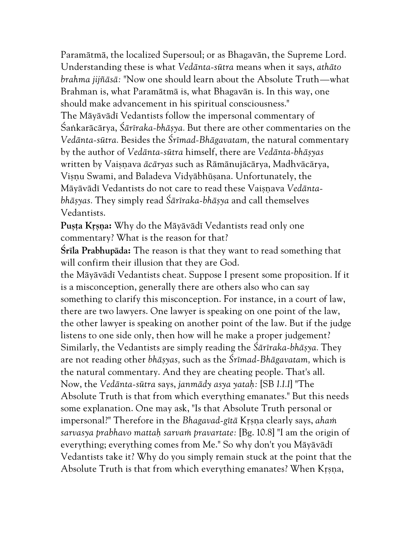Paramätmä, the localized Supersoul; or as Bhagavän, the Supreme Lord. Understanding these is what *Vedänta-sütra* means when it says, *athäto brahma jijïäsä:* "Now one should learn about the Absolute Truth—what Brahman is, what Paramätmä is, what Bhagavän is. In this way, one should make advancement in his spiritual consciousness." The Māyāvādī Vedantists follow the impersonal commentary of Śankarācārya, Ś*ārīraka-bhāṣya*. But there are other commentaries on the *Vedänta-sütra.* Besides the *Çrémad-Bhägavatam,* the natural commentary by the author of *Vedänta-sütra* himself, there are *Vedänta-bhäñyas* written by Vaișņava ācāryas such as Rāmānujācārya, Madhvācārya, Vișņu Swami, and Baladeva Vidyābhūșana. Unfortunately, the Māyāvādī Vedantists do not care to read these Vaisnava Vedānta*bhäñyas.* They simply read *Çäréraka-bhäñya* and call themselves Vedantists.

Pusta Krsna: Why do the Māyāvādī Vedantists read only one commentary? What is the reason for that?

**Śrīla Prabhupāda:** The reason is that they want to read something that will confirm their illusion that they are God.

the Māvāvādī Vedantists cheat. Suppose I present some proposition. If it is a misconception, generally there are others also who can say something to clarify this misconception. For instance, in a court of law, there are two lawyers. One lawyer is speaking on one point of the law, the other lawyer is speaking on another point of the law. But if the judge listens to one side only, then how will he make a proper judgement? Similarly, the Vedantists are simply reading the *Çäréraka-bhäñya.* They are not reading other *bhäñyas,* such as the *Çrémad-Bhägavatam,* which is the natural commentary. And they are cheating people. That's all. Now, the *Vedänta-sütra* says, *janmädy asya yataù:* [SB *1.1.1*] "The Absolute Truth is that from which everything emanates." But this needs some explanation. One may ask, "Is that Absolute Truth personal or impersonal?" Therefore in the *Bhagavad-gītā* Krsņa clearly says, *aham sarvasya prabhavo mattaù sarvaà pravartate:* [Bg. 10.8] "I am the origin of everything; everything comes from Me." So why don't you Māyāvādī Vedantists take it? Why do you simply remain stuck at the point that the Absolute Truth is that from which everything emanates? When Krsna,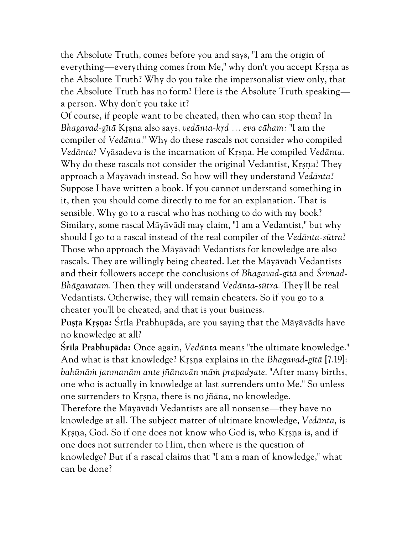the Absolute Truth, comes before you and says, "I am the origin of everything—everything comes from Me," why don't you accept Krsna as the Absolute Truth? Why do you take the impersonalist view only, that the Absolute Truth has no form? Here is the Absolute Truth speaking a person. Why don't you take it?

Of course, if people want to be cheated, then who can stop them? In *Bhagavad-gétä* Kåñëa also says, *vedänta-kåd … eva cäham:* "I am the compiler of *Vedänta.*" Why do these rascals not consider who compiled *Vedānta?* Vyāsadeva is the incarnation of Krsna. He compiled *Vedānta*. Why do these rascals not consider the original Vedantist, Krsna? They approach a Mäyävädé instead. So how will they understand *Vedänta*? Suppose I have written a book. If you cannot understand something in it, then you should come directly to me for an explanation. That is sensible. Why go to a rascal who has nothing to do with my book? Similary, some rascal Māyāvādī may claim, "I am a Vedantist," but why should I go to a rascal instead of the real compiler of the *Vedänta-sütra*? Those who approach the Māyāvādī Vedantists for knowledge are also rascals. They are willingly being cheated. Let the Māyāvādī Vedantists and their followers accept the conclusions of *Bhagavad-gitā* and *Śrīmad-Bhägavatam.* Then they will understand *Vedänta-sütra.* They'll be real Vedantists. Otherwise, they will remain cheaters. So if you go to a cheater you'll be cheated, and that is your business.

Pusta Krsna: Śrīla Prabhupāda, are you saying that the Māyāvādīs have no knowledge at all?

**Śrīla Prabhupāda:** Once again, Vedānta means "the ultimate knowledge." And what is that knowledge? Kåñëa explains in the *Bhagavad-gétä* [7.19]: *bahünäà janmanäm ante jïänavän mäà prapadyate.* "After many births, one who is actually in knowledge at last surrenders unto Me." So unless one surrenders to Krsna, there is no *jñāna*, no knowledge.

Therefore the Māvāvādī Vedantists are all nonsense—they have no knowledge at all. The subject matter of ultimate knowledge, *Vedänta,* is Krsna, God. So if one does not know who God is, who Krsna is, and if one does not surrender to Him, then where is the question of knowledge? But if a rascal claims that "I am a man of knowledge," what can be done?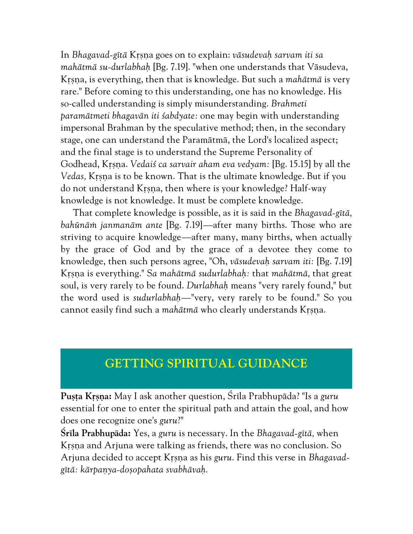In *Bhagavad-gītā* Krsņa goes on to explain: *vāsudevaḥ sarvam iti sa mahätmä su-durlabhaù* [Bg. 7.19]. "when one understands that Väsudeva, Krsna, is everything, then that is knowledge. But such a *mahātmā* is very rare." Before coming to this understanding, one has no knowledge. His so-called understanding is simply misunderstanding. *Brahmeti paramätmeti bhagavän iti çabdyate:* one may begin with understanding impersonal Brahman by the speculative method; then, in the secondary stage, one can understand the Paramätmä, the Lord's localized aspect; and the final stage is to understand the Supreme Personality of Godhead, Krsna. *Vedais ca sarvair aham eva vedyam:* [Bg. 15.15] by all the *Vedas,* Krsna is to be known. That is the ultimate knowledge. But if you do not understand Krsna, then where is your knowledge? Half-way knowledge is not knowledge. It must be complete knowledge.

That complete knowledge is possible, as it is said in the *Bhagavad-gétä, bahünäà janmanäm ante* [Bg. 7.19]—after many births. Those who are striving to acquire knowledge—after many, many births, when actually by the grace of God and by the grace of a devotee they come to knowledge, then such persons agree, "Oh, *väsudevaù sarvam iti:* [Bg. 7.19] Kåñëa is everything." S*a mahätmä sudurlabhaù:* that *mahätmä,* that great soul, is very rarely to be found. *Durlabhaù* means "very rarely found," but the word used is *sudurlabhaù*—"very, very rarely to be found." So you cannot easily find such a *mahātmā* who clearly understands Krsna.

## **GETTING SPIRITUAL GUIDANCE**

Pusta Krsna: May I ask another question, Śrīla Prabhupāda? "Is a *guru* essential for one to enter the spiritual path and attain the goal, and how does one recognize one's *guru*?"

**Çréla Prabhupäda:** Yes, a *guru* is necessary. In the *Bhagavad-gétä,* when Krsna and Arjuna were talking as friends, there was no conclusion. So Arjuna decided to accept Krsna as his *guru*. Find this verse in *Bhagavadgétä: kärpaëya-doñopahata svabhävaù.*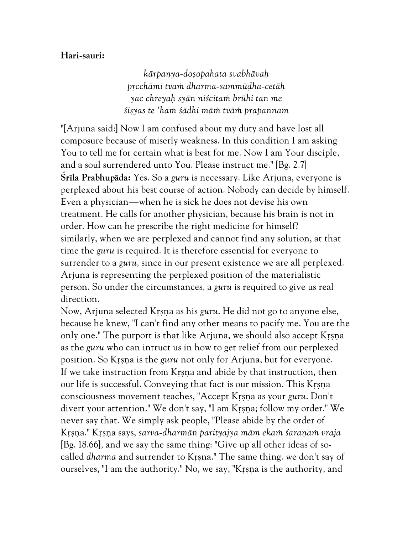#### **Hari-sauri:**

*kärpaëya-doñopahata svabhävaù påcchämi tvaà dharma-sammüòha-cetäù yac chreyaù syän niçcitaà brühi tan me çiñyas te 'haà çädhi mäà tväà prapannam*

"[Arjuna said:] Now I am confused about my duty and have lost all composure because of miserly weakness. In this condition I am asking You to tell me for certain what is best for me. Now I am Your disciple, and a soul surrendered unto You. Please instruct me." [Bg. 2.7] **Çréla Prabhupäda:** Yes. So a *guru* is necessary. Like Arjuna, everyone is perplexed about his best course of action. Nobody can decide by himself. Even a physician—when he is sick he does not devise his own treatment. He calls for another physician, because his brain is not in order. How can he prescribe the right medicine for himself? similarly, when we are perplexed and cannot find any solution, at that time the *guru* is required. It is therefore essential for everyone to surrender to a *guru,* since in our present existence we are all perplexed. Arjuna is representing the perplexed position of the materialistic person. So under the circumstances, a *guru* is required to give us real direction.

Now, Arjuna selected Krsna as his *guru*. He did not go to anyone else, because he knew, "I can't find any other means to pacify me. You are the only one." The purport is that like Arjuna, we should also accept Krsna as the *guru* who can intruct us in how to get relief from our perplexed position. So Krsna is the *guru* not only for Arjuna, but for everyone. If we take instruction from Krsna and abide by that instruction, then our life is successful. Conveying that fact is our mission. This Krsna consciousness movement teaches, "Accept Kåñëa as your *guru*. Don't divert your attention." We don't say, "I am Krsna; follow my order." We never say that. We simply ask people, "Please abide by the order of Krsna." Krsna says, *sarva-dharmān parityajya mām ekam śaranam vraja* [Bg. 18.66]*,* and we say the same thing: "Give up all other ideas of socalled *dharma* and surrender to Krsna." The same thing. we don't say of ourselves, "I am the authority." No, we say, "Krsna is the authority, and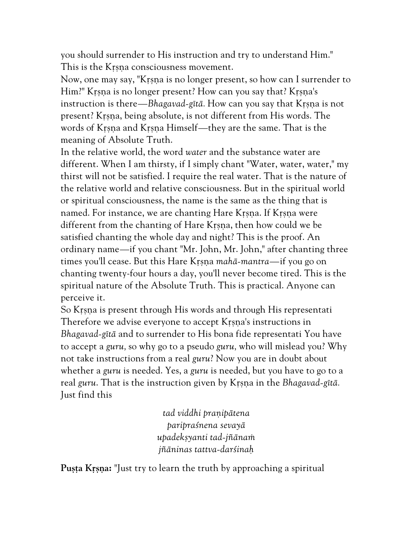you should surrender to His instruction and try to understand Him." This is the Krsna consciousness movement.

Now, one may say, "Krsna is no longer present, so how can I surrender to Him?" Krsna is no longer present? How can you say that? Krsna's instruction is there—*Bhagavad-gītā*. How can you say that Krsna is not present? Krsna, being absolute, is not different from His words. The words of Krsna and Krsna Himself—they are the same. That is the meaning of Absolute Truth.

In the relative world, the word *water* and the substance water are different. When I am thirsty, if I simply chant "Water, water, water," my thirst will not be satisfied. I require the real water. That is the nature of the relative world and relative consciousness. But in the spiritual world or spiritual consciousness, the name is the same as the thing that is named. For instance, we are chanting Hare Krsna. If Krsna were different from the chanting of Hare Krsna, then how could we be satisfied chanting the whole day and night? This is the proof. An ordinary name—if you chant "Mr. John, Mr. John," after chanting three times you'll cease. But this Hare Krsna *mahā-mantra—if you go on* chanting twenty-four hours a day, you'll never become tired. This is the spiritual nature of the Absolute Truth. This is practical. Anyone can perceive it.

So Krsna is present through His words and through His representati Therefore we advise everyone to accept Krsna's instructions in *Bhagavad-gétä* and to surrender to His bona fide representati You have to accept a *guru,* so why go to a pseudo *guru,* who will mislead you? Why not take instructions from a real *guru*? Now you are in doubt about whether a *guru* is needed. Yes, a *guru* is needed, but you have to go to a real *guru*. That is the instruction given by Krsna in the *Bhagavad-gītā*. Just find this

> *tad viddhi praëipätena paripraçnena sevayä upadekñyanti tad-jïänaà jïäninas tattva-darçinaù*

Pusta Krsna: "Just try to learn the truth by approaching a spiritual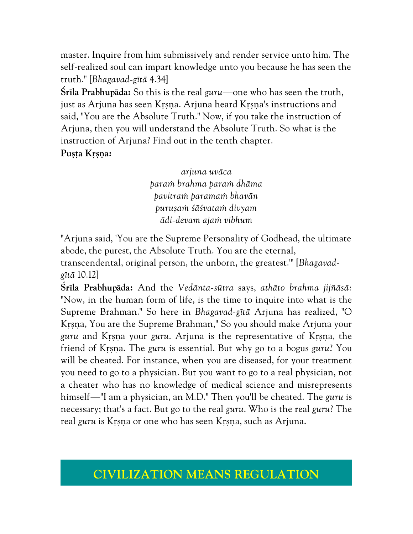master. Inquire from him submissively and render service unto him. The self-realized soul can impart knowledge unto you because he has seen the truth." [*Bhagavad-gétä* 4.34]

**Śrīla Prabhupāda:** So this is the real *guru*—one who has seen the truth, just as Arjuna has seen Krsna. Arjuna heard Krsna's instructions and said, "You are the Absolute Truth." Now, if you take the instruction of Arjuna, then you will understand the Absolute Truth. So what is the instruction of Arjuna? Find out in the tenth chapter.

Pusta Krsna:

*arjuna uväca paraà brahma paraà dhäma pavitraà paramaà bhavän puruñaà çäçvataà divyam ädi-devam ajaà vibhum*

"Arjuna said, 'You are the Supreme Personality of Godhead, the ultimate abode, the purest, the Absolute Truth. You are the eternal,

transcendental, original person, the unborn, the greatest.'" [*Bhagavadgétä* 10.12]

**Çréla Prabhupäda:** And the *Vedänta-sütra* says, *athäto brahma jijïäsä:* "Now, in the human form of life, is the time to inquire into what is the Supreme Brahman." So here in *Bhagavad-gétä* Arjuna has realized, "O Krsna, You are the Supreme Brahman," So you should make Arjuna your guru and Krsna your *guru*. Arjuna is the representative of Krsna, the friend of Kåñëa. The *guru* is essential. But why go to a bogus *guru*? You will be cheated. For instance, when you are diseased, for your treatment you need to go to a physician. But you want to go to a real physician, not a cheater who has no knowledge of medical science and misrepresents himself—"I am a physician, an M.D." Then you'll be cheated. The *guru* is necessary; that's a fact. But go to the real *guru*. Who is the real *guru*? The real *guru* is Krsna or one who has seen Krsna, such as Arjuna.

### **CIVILIZATION MEANS REGULATION**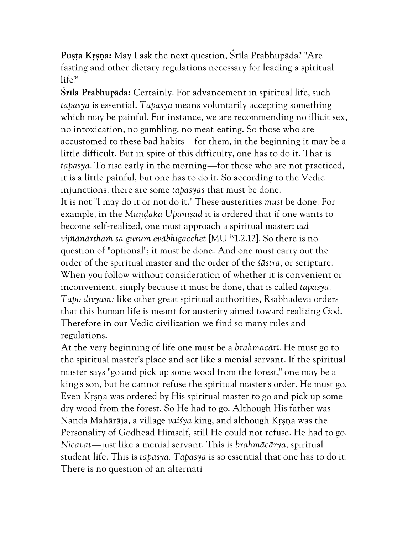Pusta Krsna: May I ask the next question, Śrīla Prabhupāda? "Are fasting and other dietary regulations necessary for leading a spiritual life?"

**Śrīla Prabhupāda:** Certainly. For advancement in spiritual life, such *tapasya* is essential. *Tapasya* means voluntarily accepting something which may be painful. For instance, we are recommending no illicit sex, no intoxication, no gambling, no meat-eating. So those who are accustomed to these bad habits—for them, in the beginning it may be a little difficult. But in spite of this difficulty, one has to do it. That is *tapasya.* To rise early in the morning—for those who are not practiced, it is a little painful, but one has to do it. So according to the Vedic injunctions, there are some *tapasyas* that must be done. It is not "I may do it or not do it." These austerities *must* be done. For

example, in the *Mundaka Upanisad* it is ordered that if one wants to become self-realized, one must approach a spiritual master: *tadvijïänärthaà sa gurum eväbhigacchet* [MU [iv](#page-59-2)1.2.12]*.* So there is no question of "optional"; it must be done. And one must carry out the order of the spiritual master and the order of the *çästra,* or scripture. When you follow without consideration of whether it is convenient or inconvenient, simply because it must be done, that is called *tapasya. Tapo divyam:* like other great spiritual authorities, Rsabhadeva orders that this human life is meant for austerity aimed toward realizing God. Therefore in our Vedic civilization we find so many rules and regulations.

At the very beginning of life one must be a *brahmacäré.* He must go to the spiritual master's place and act like a menial servant. If the spiritual master says "go and pick up some wood from the forest," one may be a king's son, but he cannot refuse the spiritual master's order. He must go. Even Krsna was ordered by His spiritual master to go and pick up some dry wood from the forest. So He had to go. Although His father was Nanda Mahārāja, a village *vaišya* king, and although Krsna was the Personality of Godhead Himself, still He could not refuse. He had to go. *Nicavat*—just like a menial servant. This is *brahmäcärya,* spiritual student life. This is *tapasya. Tapasya* is so essential that one has to do it. There is no question of an alternati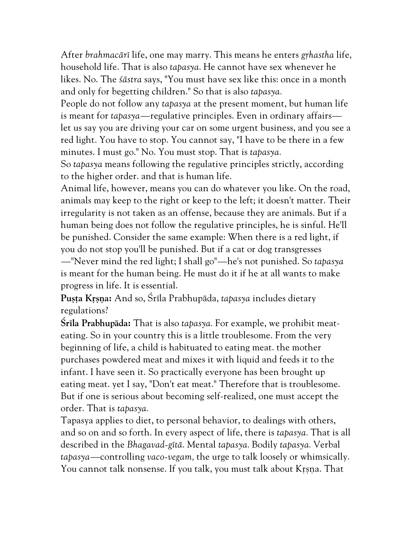After *brahmacārī* life, one may marry. This means he enters grhastha life, household life. That is also *tapasya.* He cannot have sex whenever he likes. No. The *çästra* says, "You must have sex like this: once in a month and only for begetting children." So that is also *tapasya.*

People do not follow any *tapasya* at the present moment, but human life is meant for *tapasya*—regulative principles. Even in ordinary affairs let us say you are driving your car on some urgent business, and you see a red light. You have to stop. You cannot say, "I have to be there in a few minutes. I must go." No. You must stop. That is *tapasya.*

So *tapasya* means following the regulative principles strictly, according to the higher order. and that is human life.

Animal life, however, means you can do whatever you like. On the road, animals may keep to the right or keep to the left; it doesn't matter. Their irregularity is not taken as an offense, because they are animals. But if a human being does not follow the regulative principles, he is sinful. He'll be punished. Consider the same example: When there is a red light, if you do not stop you'll be punished. But if a cat or dog transgresses —"Never mind the red light; I shall go"—he's not punished. So *tapasya* is meant for the human being. He must do it if he at all wants to make progress in life. It is essential.

Pusta Krsna: And so, Śrīla Prabhupāda, *tapasya* includes dietary regulations?

**Çréla Prabhupäda:** That is also *tapasya.* For example, we prohibit meateating. So in your country this is a little troublesome. From the very beginning of life, a child is habituated to eating meat. the mother purchases powdered meat and mixes it with liquid and feeds it to the infant. I have seen it. So practically everyone has been brought up eating meat. yet I say, "Don't eat meat." Therefore that is troublesome. But if one is serious about becoming self-realized, one must accept the order. That is *tapasya.*

Tapasya applies to diet, to personal behavior, to dealings with others, and so on and so forth. In every aspect of life, there is *tapasya.* That is all described in the *Bhagavad-gétä*. Mental *tapasya.* Bodily *tapasya.* Verbal *tapasya*—controlling *vaco-vegam,* the urge to talk loosely or whimsically. You cannot talk nonsense. If you talk, you must talk about Krsna. That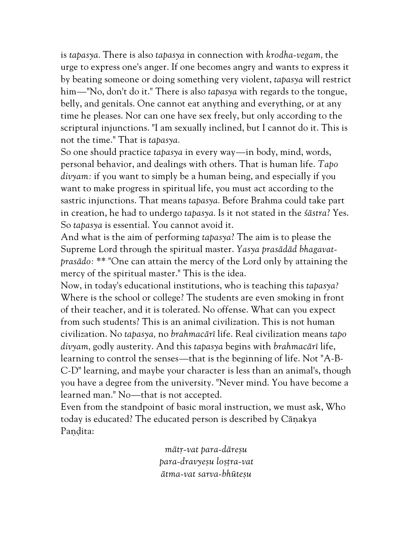is *tapasya.* There is also *tapasya* in connection with *krodha-vegam,* the urge to express one's anger. If one becomes angry and wants to express it by beating someone or doing something very violent, *tapasya* will restrict him—"No, don't do it." There is also *tapasya* with regards to the tongue, belly, and genitals. One cannot eat anything and everything, or at any time he pleases. Nor can one have sex freely, but only according to the scriptural injunctions. "I am sexually inclined, but I cannot do it. This is not the time." That is *tapasya.*

So one should practice *tapasya* in every way—in body, mind, words, personal behavior, and dealings with others. That is human life. *Tapo divyam:* if you want to simply be a human being, and especially if you want to make progress in spiritual life, you must act according to the sastric injunctions. That means *tapasya.* Before Brahma could take part in creation, he had to undergo *tapasya.* Is it not stated in the *çästra*? Yes. So *tapasya* is essential. You cannot avoid it.

And what is the aim of performing *tapasya*? The aim is to please the Supreme Lord through the spiritual master. *Yasya prasädäd bhagavatprasädo: \*\** "One can attain the mercy of the Lord only by attaining the mercy of the spiritual master." This is the idea.

Now, in today's educational institutions, who is teaching this *tapasya?* Where is the school or college? The students are even smoking in front of their teacher, and it is tolerated. No offense. What can you expect from such students? This is an animal civilization. This is not human civilization. No *tapasya,* no *brahmacäré* life. Real civilization means *tapo divyam,* godly austerity. And this *tapasya* begins with *brahmacäré* life, learning to control the senses—that is the beginning of life. Not "A-B-C-D" learning, and maybe your character is less than an animal's, though you have a degree from the university. "Never mind. You have become a learned man." No—that is not accepted.

Even from the standpoint of basic moral instruction, we must ask, Who today is educated? The educated person is described by Cānakya Pandita:

> *mātr-vat para-dāresu para-dravyeñu loñöra-vat ätma-vat sarva-bhüteñu*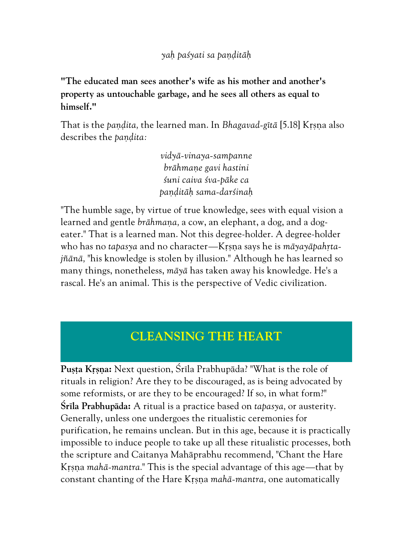#### *yaù paçyati sa paëòitäù*

**"The educated man sees another's wife as his mother and another's property as untouchable garbage, and he sees all others as equal to himself."** 

That is the *pandita*, the learned man. In *Bhagavad-gītā* [5.18] Krsna also describes the *pandita*:

> *vidyä-vinaya-sampanne brähmaëe gavi hastini çuni caiva çva-päke ca paëòitäù sama-darçinaù*

"The humble sage, by virtue of true knowledge, sees with equal vision a learned and gentle *brāhmana*, a cow, an elephant, a dog, and a dogeater." That is a learned man. Not this degree-holder. A degree-holder who has no *tapasya* and no character—Krsna says he is *māyayāpahrtajïänä,* "his knowledge is stolen by illusion." Although he has learned so many things, nonetheless, *mäyä* has taken away his knowledge. He's a rascal. He's an animal. This is the perspective of Vedic civilization.

### **CLEANSING THE HEART**

Pușta Krșna: Next question, Śrīla Prabhupāda? "What is the role of rituals in religion? Are they to be discouraged, as is being advocated by some reformists, or are they to be encouraged? If so, in what form?" **Çréla Prabhupäda:** A ritual is a practice based on *tapasya,* or austerity. Generally, unless one undergoes the ritualistic ceremonies for purification, he remains unclean. But in this age, because it is practically impossible to induce people to take up all these ritualistic processes, both the scripture and Caitanya Mahäprabhu recommend, "Chant the Hare Krsna *mahā-mantra.*" This is the special advantage of this age—that by constant chanting of the Hare Krsna *mahā-mantra*, one automatically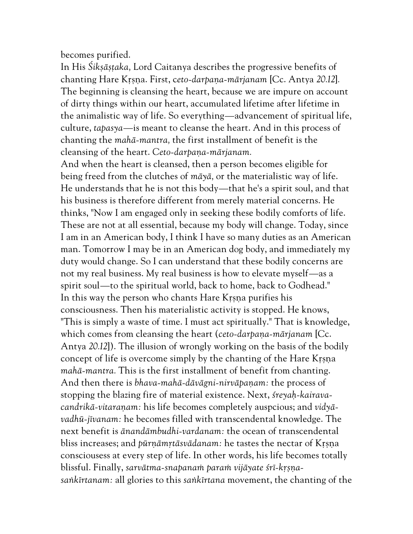becomes purified.

In His *Śiksāstaka*, Lord Caitanya describes the progressive benefits of chanting Hare Kåñëa. First, c*eto-darpaëa-märjanam* [Cc. Antya *20.12*]*.* The beginning is cleansing the heart, because we are impure on account of dirty things within our heart, accumulated lifetime after lifetime in the animalistic way of life. So everything—advancement of spiritual life, culture, *tapasya*—is meant to cleanse the heart. And in this process of chanting the *mahä-mantra,* the first installment of benefit is the cleansing of the heart. *Ceto-darpana-mārjanam*.

And when the heart is cleansed, then a person becomes eligible for being freed from the clutches of *mäyä,* or the materialistic way of life. He understands that he is not this body—that he's a spirit soul, and that his business is therefore different from merely material concerns. He thinks, "Now I am engaged only in seeking these bodily comforts of life. These are not at all essential, because my body will change. Today, since I am in an American body, I think I have so many duties as an American man. Tomorrow I may be in an American dog body, and immediately my duty would change. So I can understand that these bodily concerns are not my real business. My real business is how to elevate myself—as a spirit soul—to the spiritual world, back to home, back to Godhead." In this way the person who chants Hare Krsna purifies his consciousness. Then his materialistic activity is stopped. He knows, "This is simply a waste of time. I must act spiritually." That is knowledge, which comes from cleansing the heart (*ceto-darpana-mārjanam* [Cc. Antya *20.12*]). The illusion of wrongly working on the basis of the bodily concept of life is overcome simply by the chanting of the Hare Krsna *mahä-mantra.* This is the first installment of benefit from chanting. And then there is *bhava-mahā-dāvāgni-nirvāpanam:* the process of stopping the blazing fire of material existence. Next, *çreyaù-kairava*candrikā-vitaraņam: his life becomes completely auspcious; and *vidy*ā*vadhü-jévanam:* he becomes filled with transcendental knowledge. The next benefit is *änandämbudhi-vardanam:* the ocean of transcendental bliss increases; and *pūrņāmṛtāsvādanam:* he tastes the nectar of Krsna consciousess at every step of life. In other words, his life becomes totally blissful. Finally, *sarvātma-snapanam param vijāyate śrī-krsnasaìkértanam:* all glories to this *saìkértana* movement, the chanting of the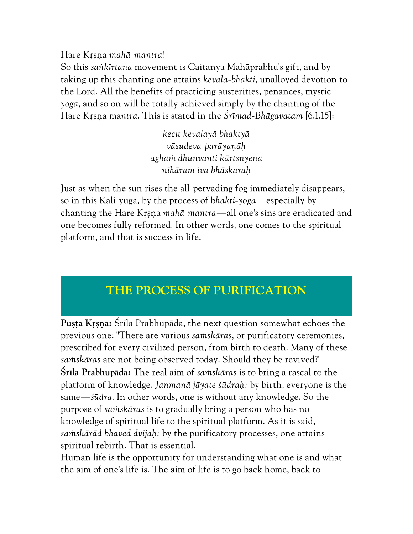Hare Krsna *mahā-mantra!* 

So this *saìkértana* movement is Caitanya Mahäprabhu's gift, and by taking up this chanting one attains *kevala-bhakti,* unalloyed devotion to the Lord. All the benefits of practicing austerities, penances, mystic *yoga,* and so on will be totally achieved simply by the chanting of the Hare Kåñëa ma*ntra*. This is stated in the *Çrémad-Bhägavatam* [6.1.15]:

> *kecit kevalayä bhaktyä* vāsudeva-parāyaņāh *aghaà dhunvanti kärtsnyena néhäram iva bhäskaraù*

Just as when the sun rises the all-pervading fog immediately disappears, so in this Kali-yuga, by the process of b*hakti-yoga*—especially by chanting the Hare Krsna *mahā-mantra*—all one's sins are eradicated and one becomes fully reformed. In other words, one comes to the spiritual platform, and that is success in life.

## **THE PROCESS OF PURIFICATION**

**Pusta Krsna:** Śrīla Prabhupāda, the next question somewhat echoes the previous one: "There are various *saàskäras,* or purificatory ceremonies, prescribed for every civilized person, from birth to death. Many of these sa*mskāras* are not being observed today. Should they be revived?" **Srīla Prabhupāda:** The real aim of *samskāras* is to bring a rascal to the platform of knowledge. *Janmanä jäyate çüdraù:* by birth, everyone is the same—*çüdra.* In other words, one is without any knowledge. So the purpose of *samskāras* is to gradually bring a person who has no knowledge of spiritual life to the spiritual platform. As it is said, sa*mskārād bhaved dvijah:* by the purificatory processes, one attains spiritual rebirth. That is essential.

Human life is the opportunity for understanding what one is and what the aim of one's life is. The aim of life is to go back home, back to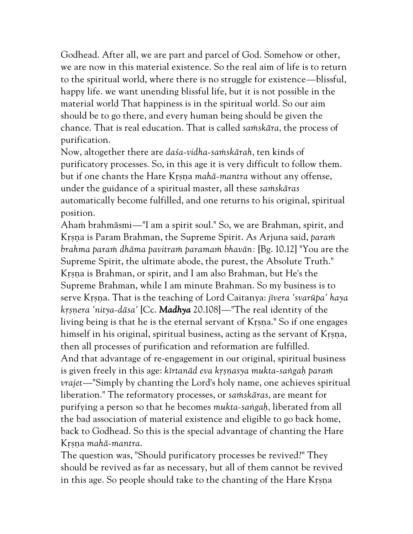Godhead. After all, we are part and parcel of God. Somehow or other, we are now in this material existence. So the real aim of life is to return to the spiritual world, where there is no struggle for existence—blissful, happy life. we want unending blissful life, but it is not possible in the material world That happiness is in the spiritual world. So our aim should be to go there, and every human being should be given the chance. That is real education. That is called *samskāra*, the process of purification.

Now, altogether there are *daça-vidha-saàskärah,* ten kinds of purificatory processes. So, in this age it is very difficult to follow them. but if one chants the Hare Krsna *mahā-mantra* without any offense, under the guidance of a spiritual master, all these *samskāras* automatically become fulfilled, and one returns to his original, spiritual position.

Aham brahmāsmi—"I am a spirit soul." So, we are Brahman, spirit, and Krsna is Param Brahman, the Supreme Spirit. As Arjuna said, *param brahma paraà dhäma pavitraà paramaà bhavän:* [Bg. 10.12] "You are the Supreme Spirit, the ultimate abode, the purest, the Absolute Truth." Krsna is Brahman, or spirit, and I am also Brahman, but He's the Supreme Brahman, while I am minute Brahman. So my business is to serve Kåñëa. That is the teaching of Lord Caitanya: *jévera 'svarüpa' haya kåñëera 'nitya-däsa'* [Cc. *Madhya* 20.108]—"The real identity of the living being is that he is the eternal servant of Krsna." So if one engages himself in his original, spiritual business, acting as the servant of Krsna, then all processes of purification and reformation are fulfilled. And that advantage of re-engagement in our original, spiritual business is given freely in this age: *kīrtanād eva krsnasya mukta-sañgah parañ vrajet*—"Simply by chanting the Lord's holy name, one achieves spiritual liberation." The reformatory processes, or *samskāras*, are meant for purifying a person so that he becomes *mukta-saìgaù,* liberated from all the bad association of material existence and eligible to go back home, back to Godhead. So this is the special advantage of chanting the Hare Krsna *mahā-mantra*.

The question was, "Should purificatory processes be revived?" They should be revived as far as necessary, but all of them cannot be revived in this age. So people should take to the chanting of the Hare Krsna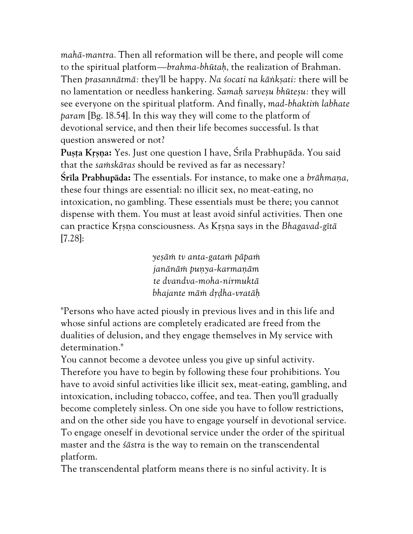*mahä-mantra.* Then all reformation will be there, and people will come to the spiritual platform—*brahma-bhütaù,* the realization of Brahman. Then *prasannātmā:* they'll be happy. *Na śocati na kānkṣati:* there will be no lamentation or needless hankering. Samah sarveșu bhūteșu: they will see everyone on the spiritual platform. And finally, *mad-bhaktim labhate param* [Bg. 18.54]*.* In this way they will come to the platform of devotional service, and then their life becomes successful. Is that question answered or not?

Pușța Krșņa: Yes. Just one question I have, Śrīla Prabhupāda. You said that the *samskāras* should be revived as far as necessary? **Śrīla Prabhupāda:** The essentials. For instance, to make one a *brāhmana*, these four things are essential: no illicit sex, no meat-eating, no intoxication, no gambling. These essentials must be there; you cannot dispense with them. You must at least avoid sinful activities. Then one can practice Kåñëa consciousness. As Kåñëa says in the *Bhagavad-gétä*  [7.28]:

> *yeñäà tv anta-gataà päpaà janänäà puëya-karmaëäm te dvandva-moha-nirmuktä bhajante mäà dåòha-vratäù*

"Persons who have acted piously in previous lives and in this life and whose sinful actions are completely eradicated are freed from the dualities of delusion, and they engage themselves in My service with determination."

You cannot become a devotee unless you give up sinful activity. Therefore you have to begin by following these four prohibitions. You have to avoid sinful activities like illicit sex, meat-eating, gambling, and intoxication, including tobacco, coffee, and tea. Then you'll gradually become completely sinless. On one side you have to follow restrictions, and on the other side you have to engage yourself in devotional service. To engage oneself in devotional service under the order of the spiritual master and the *çästra* is the way to remain on the transcendental platform.

The transcendental platform means there is no sinful activity. It is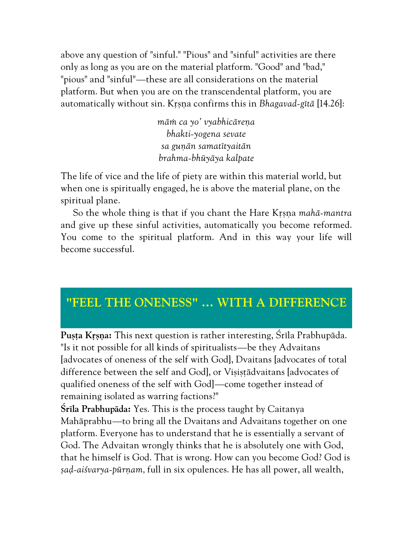above any question of "sinful." "Pious" and "sinful" activities are there only as long as you are on the material platform. "Good" and "bad," "pious" and "sinful"—these are all considerations on the material platform. But when you are on the transcendental platform, you are automatically without sin. Krsna confirms this in *Bhagavad-gītā* [14.26]:

> *mām ca yo' vyabhicāreņa bhakti-yogena sevate sa guëän samatétyaitän brahma-bhüyäya kalpate*

The life of vice and the life of piety are within this material world, but when one is spiritually engaged, he is above the material plane, on the spiritual plane.

So the whole thing is that if you chant the Hare Krsna *mahā-mantra* and give up these sinful activities, automatically you become reformed. You come to the spiritual platform. And in this way your life will become successful.

## **"FEEL THE ONENESS" … WITH A DIFFERENCE**

Pușța Krșņa: This next question is rather interesting, Śrīla Prabhupāda. "Is it not possible for all kinds of spiritualists—be they Advaitans [advocates of oneness of the self with God], Dvaitans [advocates of total difference between the self and Godl, or Visistadvaitans [advocates of qualified oneness of the self with God]—come together instead of remaining isolated as warring factions?"

**Srila Prabhupāda:** Yes. This is the process taught by Caitanya Mahäprabhu—to bring all the Dvaitans and Advaitans together on one platform. Everyone has to understand that he is essentially a servant of God. The Advaitan wrongly thinks that he is absolutely one with God, that he himself is God. That is wrong. How can you become God? God is *ñaò-aiçvarya-pürëam,* full in six opulences. He has all power, all wealth,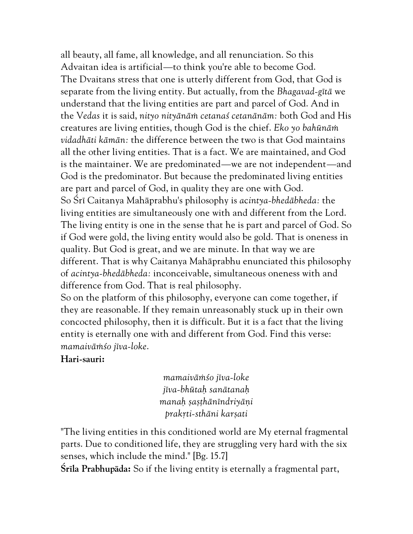all beauty, all fame, all knowledge, and all renunciation. So this Advaitan idea is artificial—to think you're able to become God. The Dvaitans stress that one is utterly different from God, that God is separate from the living entity. But actually, from the *Bhagavad-gétä* we understand that the living entities are part and parcel of God. And in the V*edas* it is said, *nityo nityänäà cetanaç cetanänäm:* both God and His creatures are living entities, though God is the chief. *Eko yo bahünäà vidadhäti kämän:* the difference between the two is that God maintains all the other living entities. That is a fact. We are maintained, and God is the maintainer. We are predominated—we are not independent—and God is the predominator. But because the predominated living entities are part and parcel of God, in quality they are one with God. So Çré Caitanya Mahäprabhu's philosophy is *a*c*intya-bhedäbheda:* the living entities are simultaneously one with and different from the Lord. The living entity is one in the sense that he is part and parcel of God. So if God were gold, the living entity would also be gold. That is oneness in quality. But God is great, and we are minute. In that way we are different. That is why Caitanya Mahäprabhu enunciated this philosophy of *acintya-bhedäbheda:* inconceivable, simultaneous oneness with and difference from God. That is real philosophy.

So on the platform of this philosophy, everyone can come together, if they are reasonable. If they remain unreasonably stuck up in their own concocted philosophy, then it is difficult. But it is a fact that the living entity is eternally one with and different from God. Find this verse: *mamaiväàço jéva-loke*.

#### **Hari-sauri:**

*mamaiväàço jéva-loke jéva-bhütaù sanätanaù manaù ñañöhänéndriyäëi prakåti-sthäni karñati*

"The living entities in this conditioned world are My eternal fragmental parts. Due to conditioned life, they are struggling very hard with the six senses, which include the mind." [Bg. 15.7]

**Śrīla Prabhupāda:** So if the living entity is eternally a fragmental part,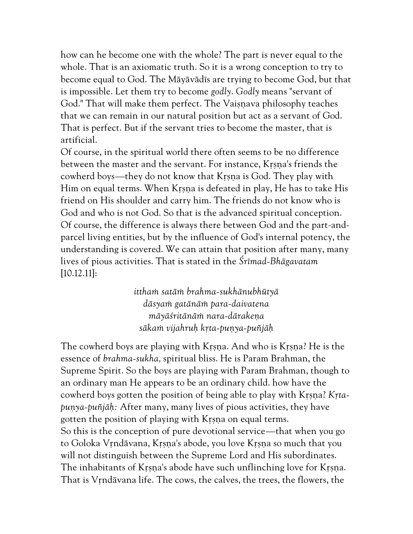how can he become one with the whole? The part is never equal to the whole. That is an axiomatic truth. So it is a wrong conception to try to become equal to God. The Mäyävädés are trying to become God, but that is impossible. Let them try to become *godly*. *Godly* means "servant of God." That will make them perfect. The Vaisnava philosophy teaches that we can remain in our natural position but act as a servant of God. That is perfect. But if the servant tries to become the master, that is artificial.

Of course, in the spiritual world there often seems to be no difference between the master and the servant. For instance, Krsna's friends the cowherd boys—they do not know that Krsna is God. They play with Him on equal terms. When Krsna is defeated in play, He has to take His friend on His shoulder and carry him. The friends do not know who is God and who is not God. So that is the advanced spiritual conception. Of course, the difference is always there between God and the part-andparcel living entities, but by the influence of God's internal potency, the understanding is covered. We can attain that position after many, many lives of pious activities. That is stated in the *Çrémad-Bhägavatam*  [10.12.11]:

> *itthaà satäà brahma-sukhänubhütyä däsyaà gatänäà para-daivatena mäyäçritänäà nara-därakeëa säkaà vijahruù kåta-puëya-puïjäù*

The cowherd boys are playing with Krsna. And who is Krsna? He is the essence of *brahma-sukha,* spiritual bliss. He is Param Brahman, the Supreme Spirit. So the boys are playing with Param Brahman, though to an ordinary man He appears to be an ordinary child. how have the cowherd boys gotten the position of being able to play with Krsna? *Krtapunya-puñjāh: After many, many lives of pious activities, they have* gotten the position of playing with Krsna on equal terms. So this is the conception of pure devotional service—that when you go to Goloka Vrndāvana, Krsna's abode, you love Krsna so much that you will not distinguish between the Supreme Lord and His subordinates. The inhabitants of Krsna's abode have such unflinching love for Krsna. That is Vrndāvana life. The cows, the calves, the trees, the flowers, the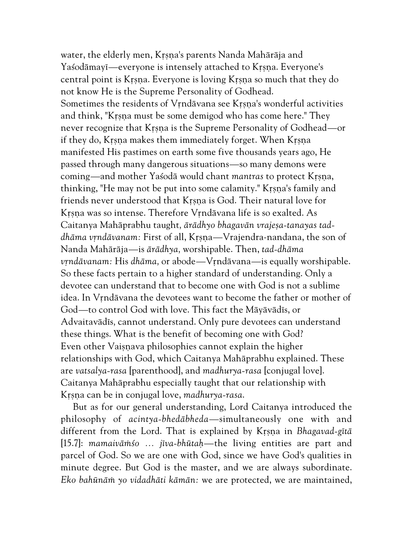water, the elderly men, Krsna's parents Nanda Mahārāja and Yasodāmayī—everyone is intensely attached to Krsna. Everyone's central point is Krsna. Everyone is loving Krsna so much that they do not know He is the Supreme Personality of Godhead. Sometimes the residents of Vrndävana see Krsna's wonderful activities and think, "Krsna must be some demigod who has come here." They never recognize that Krsna is the Supreme Personality of Godhead—or if they do, Krsna makes them immediately forget. When Krsna manifested His pastimes on earth some five thousands years ago, He passed through many dangerous situations—so many demons were coming—and mother Yasoda would chant *mantras* to protect Krsna, thinking, "He may not be put into some calamity." Krsna's family and friends never understood that Krsna is God. Their natural love for Krsna was so intense. Therefore Vrndāvana life is so exalted. As Caitanya Mahāprabhu taught, ārādhyo bhagavān vrajesa-tanayas tad*dhāma vrndāvanam: First of all, Krsna—Vrajendra-nandana, the son of* Nanda Mahäräja—is *ärädhya,* worshipable. Then, *tad-dhäma vrndāvanam:* His *dhāma*, or abode—Vrndāvana—is equally worshipable. So these facts pertain to a higher standard of understanding. Only a devotee can understand that to become one with God is not a sublime idea. In Vrndāvana the devotees want to become the father or mother of God—to control God with love. This fact the Māyāvādīs, or Advaitavädés*,* cannot understand. Only pure devotees can understand these things. What is the benefit of becoming one with God? Even other Vaisnava philosophies cannot explain the higher relationships with God, which Caitanya Mahäprabhu explained. These are *vatsalya-rasa* [parenthood], and *madhurya-rasa* [conjugal love]. Caitanya Mahäprabhu especially taught that our relationship with Krsna can be in conjugal love, *madhurya-rasa*.

But as for our general understanding, Lord Caitanya introduced the philosophy of *acintya-bhedäbheda*—simultaneously one with and different from the Lord. That is explained by Kåñëa in *Bhagavad-gétä*  [15.7]: *mamaivāmso ... jīva-bhūtaḥ—the living entities are part and* parcel of God. So we are one with God, since we have God's qualities in minute degree. But God is the master, and we are always subordinate. *Eko bahünäà yo vidadhäti kämän:* we are protected, we are maintained,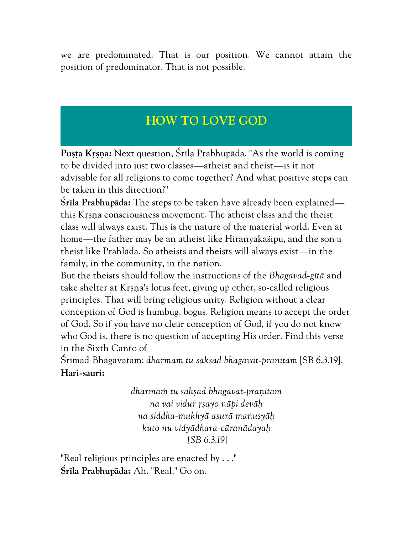we are predominated. That is our position. We cannot attain the position of predominator. That is not possible.

## **HOW TO LOVE GOD**

Pusta Krsna: Next question, Śrīla Prabhupāda. "As the world is coming to be divided into just two classes—atheist and theist—is it not advisable for all religions to come together? And what positive steps can be taken in this direction?"

**Śrīla Prabhupāda:** The steps to be taken have already been explained this Krsna consciousness movement. The atheist class and the theist class will always exist. This is the nature of the material world. Even at home—the father may be an atheist like Hiranyakasipu, and the son a theist like Prahläda. So atheists and theists will always exist—in the family, in the community, in the nation.

But the theists should follow the instructions of the *Bhagavad-gétä* and take shelter at Krsna's lotus feet, giving up other, so-called religious principles. That will bring religious unity. Religion without a clear conception of God is humbug, bogus. Religion means to accept the order of God. So if you have no clear conception of God, if you do not know who God is, there is no question of accepting His order. Find this verse in the Sixth Canto of

Śrīmad-Bhāgavatam: *dharmam tu sāksād bhagavat-pranītam* [SB 6.3.19]*.* **Hari-sauri:**

> *dharmam tu sākṣād bhagavat-pranītam na vai vidur åñayo näpi deväù na siddha-mukhyä asurä manuñyäù kuto nu vidyädhara-cäraëädayaù [SB 6.3.19*]

"Real religious principles are enacted by . . ." **Çréla Prabhupäda:** Ah. "Real." Go on.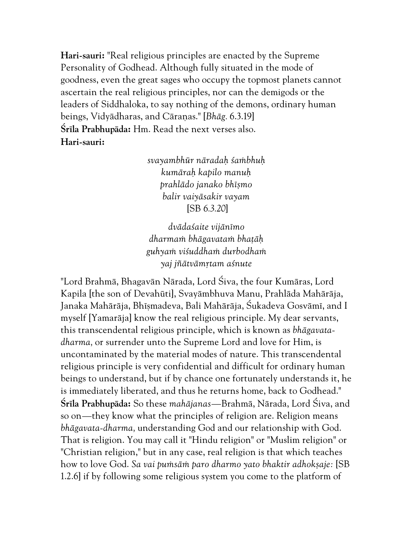**Hari-sauri:** "Real religious principles are enacted by the Supreme Personality of Godhead. Although fully situated in the mode of goodness, even the great sages who occupy the topmost planets cannot ascertain the real religious principles, nor can the demigods or the leaders of Siddhaloka, to say nothing of the demons, ordinary human beings, Vidyādharas, and Cāranas." [*Bhāg.* 6.3.19] **Çréla Prabhupäda:** Hm. Read the next verses also. **Hari-sauri:**

> *svayambhür näradaù çaàbhuù kumäraù kapilo manuù prahlädo janako bhéñmo balir vaiyäsakir vayam* [SB *6.3.20*]

*dvädaçaite vijänémo dharmaà bhägavataà bhaöäù guhyaà viçuddhaà durbodhaà yaj jïätvämåtam açnute*

"Lord Brahmä, Bhagavän Närada, Lord Çiva, the four Kumäras, Lord Kapila [the son of Devahüti], Svayämbhuva Manu, Prahläda Mahäräja, Janaka Mahārāja, Bhīsmadeva, Bali Mahārāja, Śukadeva Gosvāmī, and I myself [Yamaräja] know the real religious principle. My dear servants, this transcendental religious principle, which is known as *bhägavatadharma,* or surrender unto the Supreme Lord and love for Him, is uncontaminated by the material modes of nature. This transcendental religious principle is very confidential and difficult for ordinary human beings to understand, but if by chance one fortunately understands it, he is immediately liberated, and thus he returns home, back to Godhead." **Çréla Prabhupäda:** So these *mahäjanas*—Brahmä, Närada, Lord Çiva, and so on—they know what the principles of religion are. Religion means *bhägavata-dharma,* understanding God and our relationship with God. That is religion. You may call it "Hindu religion" or "Muslim religion" or "Christian religion," but in any case, real religion is that which teaches how to love God. *Sa vai pumsām paro dharmo yato bhaktir adhoksaje:* [SB 1.2.6] if by following some religious system you come to the platform of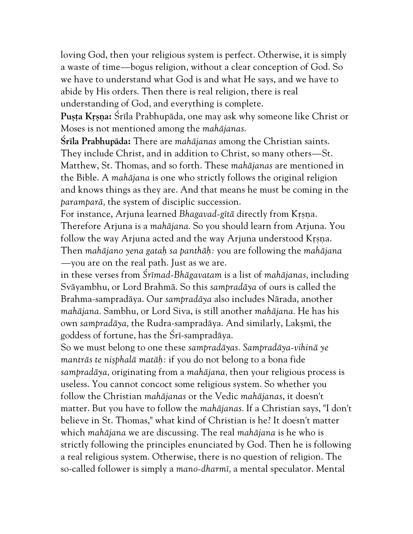loving God, then your religious system is perfect. Otherwise, it is simply a waste of time—bogus religion, without a clear conception of God. So we have to understand what God is and what He says, and we have to abide by His orders. Then there is real religion, there is real understanding of God, and everything is complete.

Pusta Krsna: Śrīla Prabhupāda, one may ask why someone like Christ or Moses is not mentioned among the *mahäjanas.*

**Śrīla Prabhupāda:** There are *mahājanas* among the Christian saints. They include Christ, and in addition to Christ, so many others—St. Matthew, St. Thomas, and so forth. These *mahäjanas* are mentioned in the Bible. A *mahäjana* is one who strictly follows the original religion and knows things as they are. And that means he must be coming in the *paramparä,* the system of disciplic succession.

For instance, Arjuna learned *Bhagavad-gītā* directly from Krsna. Therefore Arjuna is a *mahäjana.* So you should learn from Arjuna. You follow the way Arjuna acted and the way Arjuna understood Krsna. Then *mahäjano yena gataù sa panthäù:* you are following the *mahäjana* —you are on the real path. Just as we are.

in these verses from *Çrémad-Bhägavatam* is a list of *mahäjanas,* including Sväyambhu, or Lord Brahmä. So this *sampradäya* of ours is called the Brahma-sampradäya. Our *sampradäya* also includes Närada, another *mahäjana.* Sambhu, or Lord Siva, is still another *mahäjana.* He has his own *sampradäya,* the Rudra-sampradäya. And similarly, Lakñmé, the goddess of fortune, has the Śrī-sampradāya.

So we must belong to one these *sampradäyas. Sampradäya-vihinä ye mantrās te nisphalā matāh: if you do not belong to a bona fide sampradäya,* originating from a *mahäjana,* then your religious process is useless. You cannot concoct some religious system. So whether you follow the Christian *mahäjanas* or the Vedic *mahäjanas*, it doesn't matter. But you have to follow the *mahäjanas.* If a Christian says, "I don't believe in St. Thomas," what kind of Christian is he? It doesn't matter which *mahäjana* we are discussing. The real *mahäjana* is he who is strictly following the principles enunciated by God. Then he is following a real religious system. Otherwise, there is no question of religion. The so-called follower is simply a *mano-dharmé,* a mental speculator. Mental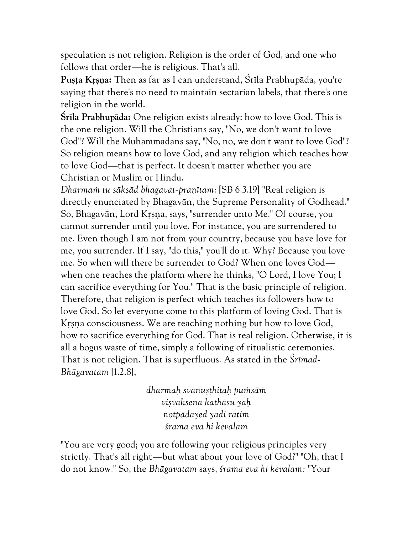speculation is not religion. Religion is the order of God, and one who follows that order—he is religious. That's all.

Pusta Krsna: Then as far as I can understand, Śrīla Prabhupāda, you're saying that there's no need to maintain sectarian labels, that there's one religion in the world.

**Śrīla Prabhupāda:** One religion exists already: how to love God. This is the one religion. Will the Christians say, "No, we don't want to love God"? Will the Muhammadans say, "No, no, we don't want to love God"? So religion means how to love God, and any religion which teaches how to love God—that is perfect. It doesn't matter whether you are Christian or Muslim or Hindu.

*Dharmam tu sāksād bhagavat-pranītam:* [SB 6.3.19] "Real religion is directly enunciated by Bhagavän, the Supreme Personality of Godhead." So, Bhagavān, Lord Krsna, says, "surrender unto Me." Of course, you cannot surrender until you love. For instance, you are surrendered to me. Even though I am not from your country, because you have love for me, you surrender. If I say, "do this," you'll do it. Why? Because you love me. So when will there be surrender to God? When one loves God when one reaches the platform where he thinks, "O Lord, I love You; I can sacrifice everything for You." That is the basic principle of religion. Therefore, that religion is perfect which teaches its followers how to love God. So let everyone come to this platform of loving God. That is Krsna consciousness. We are teaching nothing but how to love God, how to sacrifice everything for God. That is real religion. Otherwise, it is all a bogus waste of time, simply a following of ritualistic ceremonies. That is not religion. That is superfluous. As stated in the *Çrémad-Bhägavatam* [1.2.8],

> *dharmah svanusthitah pumsām viñvaksena kathäsu yaù notpädayed yadi ratià çrama eva hi kevalam*

"You are very good; you are following your religious principles very strictly. That's all right—but what about your love of God?" "Oh, that I do not know." So, the *Bhägavatam* says, *çrama eva hi kevalam:* "Your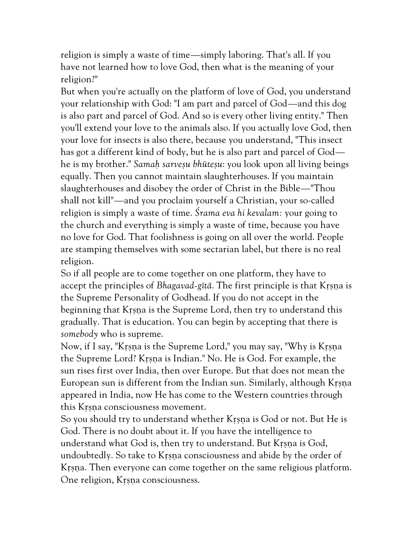religion is simply a waste of time—simply laboring. That's all. If you have not learned how to love God, then what is the meaning of your religion?"

But when you're actually on the platform of love of God, you understand your relationship with God: "I am part and parcel of God—and this dog is also part and parcel of God. And so is every other living entity." Then you'll extend your love to the animals also. If you actually love God, then your love for insects is also there, because you understand, "This insect has got a different kind of body, but he is also part and parcel of God he is my brother." *Samaù sarveñu bhüteñu*: you look upon all living beings equally. Then you cannot maintain slaughterhouses. If you maintain slaughterhouses and disobey the order of Christ in the Bible—"Thou shall not kill"—and you proclaim yourself a Christian, your so-called religion is simply a waste of time. *Çrama eva hi kevalam:* your going to the church and everything is simply a waste of time, because you have no love for God. That foolishness is going on all over the world. People are stamping themselves with some sectarian label, but there is no real religion.

So if all people are to come together on one platform, they have to accept the principles of *Bhagavad-gītā*. The first principle is that Krsna is the Supreme Personality of Godhead. If you do not accept in the beginning that Krsna is the Supreme Lord, then try to understand this gradually. That is education. You can begin by accepting that there is *somebody* who is supreme.

Now, if I say, "Krsna is the Supreme Lord," you may say, "Why is Krsna the Supreme Lord? Krsna is Indian." No. He is God. For example, the sun rises first over India, then over Europe. But that does not mean the European sun is different from the Indian sun. Similarly, although Krsna appeared in India, now He has come to the Western countries through this Krsna consciousness movement.

So you should try to understand whether Krsna is God or not. But He is God. There is no doubt about it. If you have the intelligence to understand what God is, then try to understand. But Krsna is God, undoubtedly. So take to Krsna consciousness and abide by the order of Krsna. Then everyone can come together on the same religious platform. One religion, Krsna consciousness.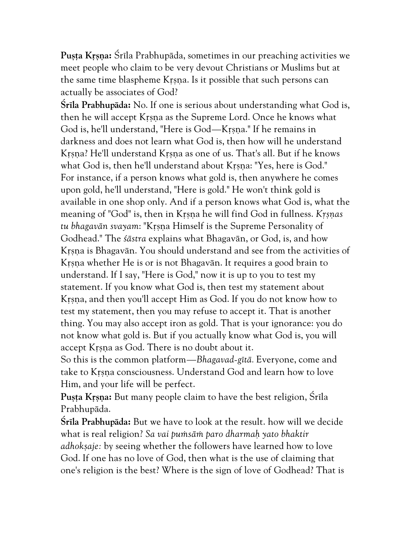Pușta Krșņa: Śrīla Prabhupāda, sometimes in our preaching activities we meet people who claim to be very devout Christians or Muslims but at the same time blaspheme Krsna. Is it possible that such persons can actually be associates of God?

**Śrīla Prabhupāda:** No. If one is serious about understanding what God is, then he will accept Krsna as the Supreme Lord. Once he knows what God is, he'll understand, "Here is God—Krsna." If he remains in darkness and does not learn what God is, then how will he understand Krsna? He'll understand Krsna as one of us. That's all. But if he knows what God is, then he'll understand about Krsna: "Yes, here is God." For instance, if a person knows what gold is, then anywhere he comes upon gold, he'll understand, "Here is gold." He won't think gold is available in one shop only. And if a person knows what God is, what the meaning of "God" is, then in Krsna he will find God in fullness. *Krsnas tu bhagavän svayam*: "Kåñëa Himself is the Supreme Personality of Godhead." The *çästra* explains what Bhagavän, or God, is, and how Krsna is Bhagavān. You should understand and see from the activities of Krsna whether He is or is not Bhagavān. It requires a good brain to understand. If I say, "Here is God," now it is up to you to test my statement. If you know what God is, then test my statement about Krsna, and then you'll accept Him as God. If you do not know how to test my statement, then you may refuse to accept it. That is another thing. You may also accept iron as gold. That is your ignorance: you do not know what gold is. But if you actually know what God is, you will accept Krsna as God. There is no doubt about it.

So this is the common platform—*Bhagavad-gétä.* Everyone, come and take to Krsna consciousness. Understand God and learn how to love Him, and your life will be perfect.

**Pusta Krsna:** But many people claim to have the best religion, Śrīla Prabhupäda.

**Çréla Prabhupäda:** But we have to look at the result. how will we decide what is real religion? *Sa vai pumsām paro dharmah yato bhaktir adhokñaje:* by seeing whether the followers have learned how to love God. If one has no love of God, then what is the use of claiming that one's religion is the best? Where is the sign of love of Godhead? That is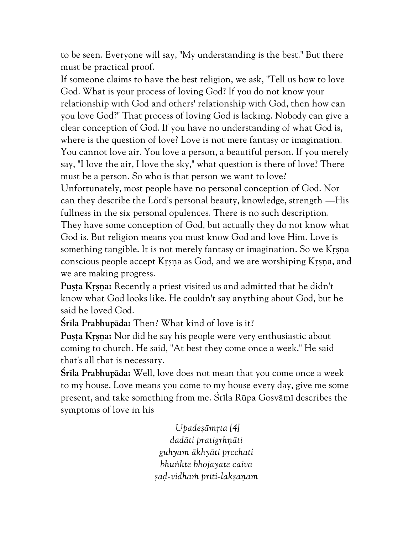to be seen. Everyone will say, "My understanding is the best." But there must be practical proof.

If someone claims to have the best religion, we ask, "Tell us how to love God. What is your process of loving God? If you do not know your relationship with God and others' relationship with God, then how can you love God?" That process of loving God is lacking. Nobody can give a clear conception of God. If you have no understanding of what God is, where is the question of love? Love is not mere fantasy or imagination. You cannot love air. You love a person, a beautiful person. If you merely say, "I love the air, I love the sky," what question is there of love? There must be a person. So who is that person we want to love? Unfortunately, most people have no personal conception of God. Nor can they describe the Lord's personal beauty, knowledge, strength —His fullness in the six personal opulences. There is no such description. They have some conception of God, but actually they do not know what

God is. But religion means you must know God and love Him. Love is something tangible. It is not merely fantasy or imagination. So we Krsna conscious people accept Krsna as God, and we are worshiping Krsna, and we are making progress.

Pusta Krsna: Recently a priest visited us and admitted that he didn't know what God looks like. He couldn't say anything about God, but he said he loved God.

Śrīla Prabhupāda: Then? What kind of love is it?

Pușta Krșņa: Nor did he say his people were very enthusiastic about coming to church. He said, "At best they come once a week." He said that's all that is necessary.

**Śrīla Prabhupāda:** Well, love does not mean that you come once a week to my house. Love means you come to my house every day, give me some present, and take something from me. Śrīla Rūpa Gosvāmī describes the symptoms of love in his

> *<u>Upadesāmrta</u>* [4] *dadäti pratigåhëäti guhyam äkhyäti påcchati bhuìkte bhojayate caiva ñaò-vidhaà préti-lakñaëam*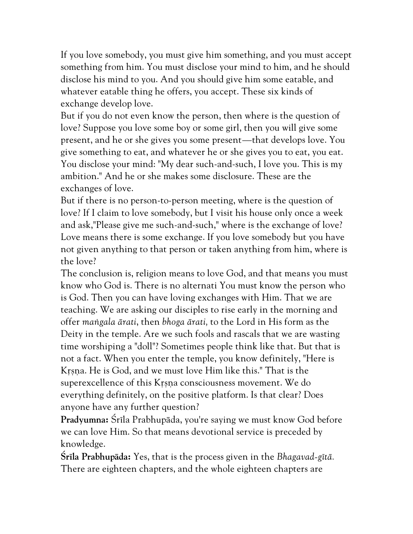If you love somebody, you must give him something, and you must accept something from him. You must disclose your mind to him, and he should disclose his mind to you. And you should give him some eatable, and whatever eatable thing he offers, you accept. These six kinds of exchange develop love.

But if you do not even know the person, then where is the question of love? Suppose you love some boy or some girl, then you will give some present, and he or she gives you some present—that develops love. You give something to eat, and whatever he or she gives you to eat, you eat. You disclose your mind: "My dear such-and-such, I love you. This is my ambition." And he or she makes some disclosure. These are the exchanges of love.

But if there is no person-to-person meeting, where is the question of love? If I claim to love somebody, but I visit his house only once a week and ask,"Please give me such-and-such," where is the exchange of love? Love means there is some exchange. If you love somebody but you have not given anything to that person or taken anything from him, where is the love?

The conclusion is, religion means to love God, and that means you must know who God is. There is no alternati You must know the person who is God. Then you can have loving exchanges with Him. That we are teaching. We are asking our disciples to rise early in the morning and offer *maìgala ärati*, then *bhoga ärati,* to the Lord in His form as the Deity in the temple. Are we such fools and rascals that we are wasting time worshiping a "doll"? Sometimes people think like that. But that is not a fact. When you enter the temple, you know definitely, "Here is Krsna. He is God, and we must love Him like this." That is the superexcellence of this Krsna consciousness movement. We do everything definitely, on the positive platform. Is that clear? Does anyone have any further question?

Pradyumna: Śrīla Prabhupāda, you're saying we must know God before we can love Him. So that means devotional service is preceded by knowledge.

**Çréla Prabhupäda:** Yes, that is the process given in the *Bhagavad-gétä.* There are eighteen chapters, and the whole eighteen chapters are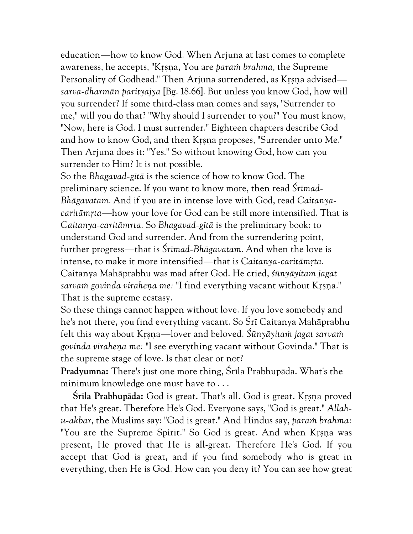education—how to know God. When Arjuna at last comes to complete awareness, he accepts, "Krsna, You are *param brahma*, the Supreme Personality of Godhead." Then Arjuna surrendered, as Krsna advised *sarva-dharmän parityajya* [Bg. 18.66]*.* But unless you know God, how will you surrender? If some third-class man comes and says, "Surrender to me," will you do that? "Why should I surrender to you?" You must know, "Now, here is God. I must surrender." Eighteen chapters describe God and how to know God, and then Krsna proposes, "Surrender unto Me." Then Arjuna does it: "Yes." So without knowing God, how can you surrender to Him? It is not possible.

So the *Bhagavad-gétä* is the science of how to know God. The preliminary science. If you want to know more, then read *Çrémad-Bhägavatam.* And if you are in intense love with God, read *Caitanyacaritāmrta*—how your love for God can be still more intensified. That is *Caitanya-caritämåta.* So *Bhagavad-gétä* is the preliminary book: to understand God and surrender. And from the surrendering point, further progress—that is *Çrémad-Bhägavatam.* And when the love is intense, to make it more intensified—that is Caitanya-caritāmrta. Caitanya Mahäprabhu was mad after God. He cried, *çünyäyitam jagat*  sarvam govinda virahena me: "I find everything vacant without Krsna." That is the supreme ecstasy.

So these things cannot happen without love. If you love somebody and he's not there, you find everything vacant. So Śrī Caitanya Mahāprabhu felt this way about Krsna—lover and beloved. *Śūnyāyitam jagat sarvam govinda viraheëa me:* "I see everything vacant without Govinda." That is the supreme stage of love. Is that clear or not?

**Pradyumna:** There's just one more thing, Śrīla Prabhupāda. What's the minimum knowledge one must have to . . .

**Śrīla Prabhupāda:** God is great. That's all. God is great. Krsna proved that He's great. Therefore He's God. Everyone says, "God is great." *Allahu-akbar*, the Muslims say: "God is great." And Hindus say, *param brahma*: "You are the Supreme Spirit." So God is great. And when Krsna was present, He proved that He is all-great. Therefore He's God. If you accept that God is great, and if you find somebody who is great in everything, then He is God. How can you deny it? You can see how great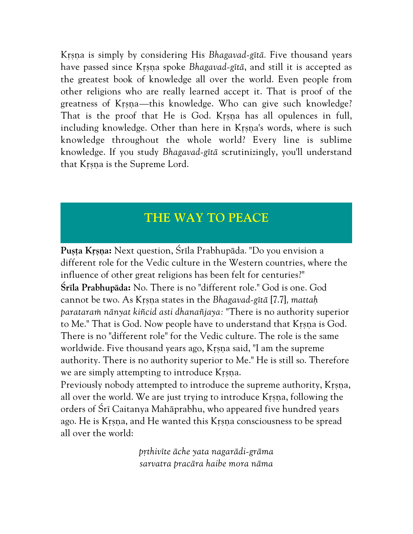Krsna is simply by considering His *Bhagavad-gītā*. Five thousand years have passed since Kåñëa spoke *Bhagavad-gétä*, and still it is accepted as the greatest book of knowledge all over the world. Even people from other religions who are really learned accept it. That is proof of the greatness of Krsna—this knowledge. Who can give such knowledge? That is the proof that He is God. Krsna has all opulences in full, including knowledge. Other than here in Krsna's words, where is such knowledge throughout the whole world? Every line is sublime knowledge. If you study *Bhagavad-gétä* scrutinizingly, you'll understand that Krsna is the Supreme Lord.

#### **THE WAY TO PEACE**

**Pusta Krsna:** Next question, Śrīla Prabhupāda. "Do you envision a different role for the Vedic culture in the Western countries, where the influence of other great religions has been felt for centuries?" **Çréla Prabhupäda:** No. There is no "different role." God is one. God cannot be two. As Kåñëa states in the *Bhagavad-gétä* [7.7]*, mattaù parataraà nänyat kiïcid asti dhanaïjaya:* "There is no authority superior to Me." That is God. Now people have to understand that Krsna is God. There is no "different role" for the Vedic culture. The role is the same worldwide. Five thousand years ago, Krsna said, "I am the supreme authority. There is no authority superior to Me." He is still so. Therefore we are simply attempting to introduce Krsna.

Previously nobody attempted to introduce the supreme authority, Krsna, all over the world. We are just trying to introduce Krsna, following the orders of Srī Caitanya Mahāprabhu, who appeared five hundred years ago. He is Krsna, and He wanted this Krsna consciousness to be spread all over the world:

> *påthivéte äche yata nagarädi-gräma sarvatra pracära haibe mora näma*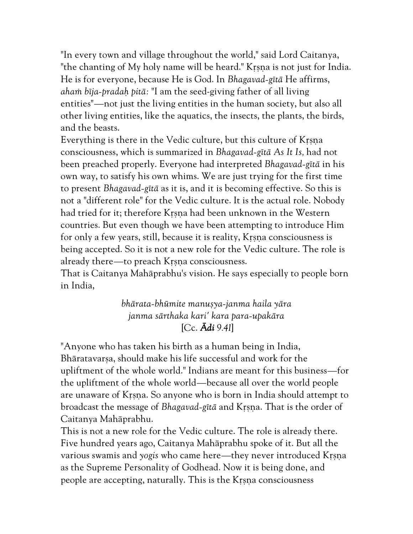"In every town and village throughout the world," said Lord Caitanya, "the chanting of My holy name will be heard." Krsna is not just for India. He is for everyone, because He is God. In *Bhagavad-gétä* He affirms, *ahaà béja-pradaù pitä:* "I am the seed-giving father of all living entities"—not just the living entities in the human society, but also all other living entities, like the aquatics, the insects, the plants, the birds, and the beasts.

Everything is there in the Vedic culture, but this culture of Krsna consciousness, which is summarized in *Bhagavad-gétä As It Is,* had not been preached properly. Everyone had interpreted *Bhagavad-gétä* in his own way, to satisfy his own whims. We are just trying for the first time to present *Bhagavad-gétä* as it is, and it is becoming effective. So this is not a "different role" for the Vedic culture. It is the actual role. Nobody had tried for it; therefore Krsna had been unknown in the Western countries. But even though we have been attempting to introduce Him for only a few years, still, because it is reality, Krsna consciousness is being accepted. So it is not a new role for the Vedic culture. The role is already there—to preach Krsna consciousness.

That is Caitanya Mahäprabhu's vision. He says especially to people born in India,

#### *bhärata-bhümite manuñya-janma haila yära janma särthaka kari' kara para-upakära* [Cc. *Ädi 9.41*]

"Anyone who has taken his birth as a human being in India, Bhāratavarsa, should make his life successful and work for the upliftment of the whole world." Indians are meant for this business—for the upliftment of the whole world—because all over the world people are unaware of Krsna. So anyone who is born in India should attempt to broadcast the message of *Bhagavad-gītā* and Krsna. That is the order of Caitanya Mahäprabhu.

This is not a new role for the Vedic culture. The role is already there. Five hundred years ago, Caitanya Mahäprabhu spoke of it. But all the various swamis and yogis who came here—they never introduced Krsna as the Supreme Personality of Godhead. Now it is being done, and people are accepting, naturally. This is the Krsna consciousness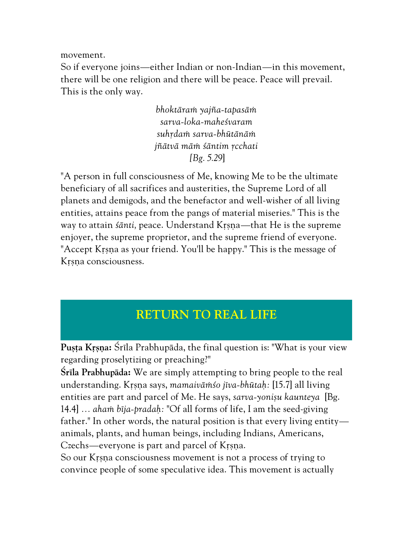movement.

So if everyone joins—either Indian or non-Indian—in this movement, there will be one religion and there will be peace. Peace will prevail. This is the only way.

> *bhoktäraà yajïa-tapasäà sarva-loka-maheçvaram suhådaà sarva-bhütänäà jïätvä mäà çäntim åcchati [Bg. 5.29*]

"A person in full consciousness of Me, knowing Me to be the ultimate beneficiary of all sacrifices and austerities, the Supreme Lord of all planets and demigods, and the benefactor and well-wisher of all living entities, attains peace from the pangs of material miseries." This is the way to attain *sānti*, peace. Understand Krsna—that He is the supreme enjoyer, the supreme proprietor, and the supreme friend of everyone. "Accept Krsna as your friend. You'll be happy." This is the message of Krsna consciousness.

## **RETURN TO REAL LIFE**

Pusta Krsna: Śrīla Prabhupāda, the final question is: "What is your view regarding proselytizing or preaching?"

**Śrīla Prabhupāda:** We are simply attempting to bring people to the real understanding. Krsna says, *mamaivāmso jīva-bhūtaḥ: [15.7] all living* entities are part and parcel of Me. He says, *sarva-yonisu kaunteya* [Bg.] 14.4] ... *aham bija-pradah:* "Of all forms of life, I am the seed-giving father." In other words, the natural position is that every living entity animals, plants, and human beings, including Indians, Americans, Czechs—everyone is part and parcel of Krsna.

So our Krsna consciousness movement is not a process of trying to convince people of some speculative idea. This movement is actually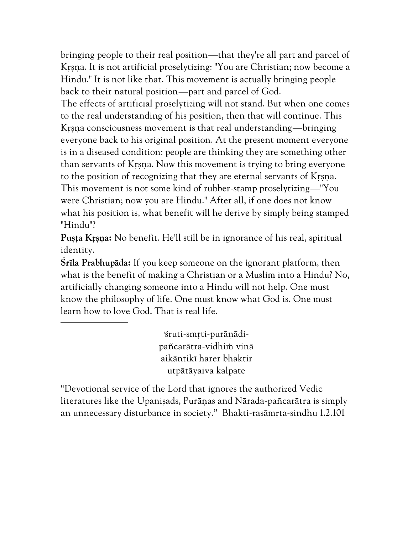bringing people to their real position—that they're all part and parcel of Krsna. It is not artificial proselytizing: "You are Christian; now become a Hindu." It is not like that. This movement is actually bringing people back to their natural position—part and parcel of God.

The effects of artificial proselytizing will not stand. But when one comes to the real understanding of his position, then that will continue. This Krsna consciousness movement is that real understanding—bringing everyone back to his original position. At the present moment everyone is in a diseased condition: people are thinking they are something other than servants of Krsna. Now this movement is trying to bring everyone to the position of recognizing that they are eternal servants of Krsna. This movement is not some kind of rubber-stamp proselytizing—"You were Christian; now you are Hindu." After all, if one does not know what his position is, what benefit will he derive by simply being stamped "Hindu"?

Pușța Krșņa: No benefit. He'll still be in ignorance of his real, spiritual identity.

**Śrīla Prabhupāda:** If you keep someone on the ignorant platform, then what is the benefit of making a Christian or a Muslim into a Hindu? No, artificially changing someone into a Hindu will not help. One must know the philosophy of life. One must know what God is. One must learn how to love God. That is real life.

> <span id="page-58-0"></span><sup>i</sup>śruti-smṛti-purāṇādipaïcarätra-vidhià vinä aikāntikī harer bhaktir utpätäyaiva kalpate

"Devotional service of the Lord that ignores the authorized Vedic literatures like the Upanișads, Purāņas and Nārada-pañcarātra is simply an unnecessary disturbance in society." Bhakti-rasāmŗta-sindhu 1.2.101